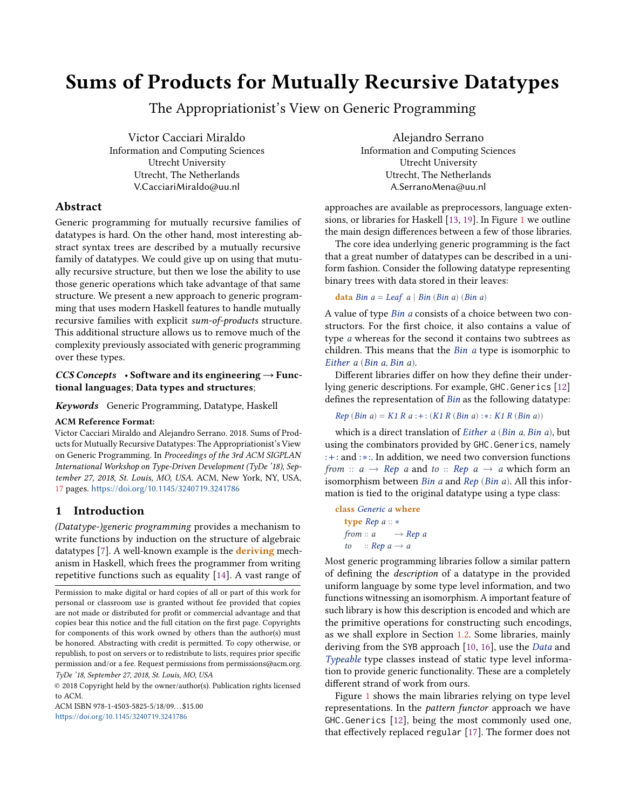# Sums of Products for Mutually Recursive Datatypes

The Appropriationist's View on Generic Programming

Victor Cacciari Miraldo Information and Computing Sciences Utrecht University Utrecht, The Netherlands V.CacciariMiraldo@uu.nl

# Abstract

Generic programming for mutually recursive families of datatypes is hard. On the other hand, most interesting abstract syntax trees are described by a mutually recursive family of datatypes. We could give up on using that mutually recursive structure, but then we lose the ability to use those generic operations which take advantage of that same structure. We present a new approach to generic programming that uses modern Haskell features to handle mutually recursive families with explicit sum-of-products structure. This additional structure allows us to remove much of the complexity previously associated with generic programming over these types.

 $CCS$  Concepts • Software and its engineering  $\rightarrow$  Functional languages; Data types and structures;

Keywords Generic Programming, Datatype, Haskell

## ACM Reference Format:

Victor Cacciari Miraldo and Alejandro Serrano. 2018. Sums of Products for Mutually Recursive Datatypes: The Appropriationist's View on Generic Programming. In Proceedings of the 3rd ACM SIGPLAN International Workshop on Type-Driven Development (TyDe '18), September 27, 2018, St. Louis, MO, USA. ACM, New York, NY, USA, [17](#page-16-0) pages. <https://doi.org/10.1145/3240719.3241786>

# 1 Introduction

(Datatype-)generic programming provides a mechanism to write functions by induction on the structure of algebraic datatypes [\[7\]](#page-12-0). A well-known example is the **deriving** mechanism in Haskell, which frees the programmer from writing repetitive functions such as equality [\[14\]](#page-12-1). A vast range of

© 2018 Copyright held by the owner/author(s). Publication rights licensed to ACM.

ACM ISBN 978-1-4503-5825-5/18/09... \$15.00

<https://doi.org/10.1145/3240719.3241786>

Alejandro Serrano Information and Computing Sciences Utrecht University Utrecht, The Netherlands A.SerranoMena@uu.nl

approaches are available as preprocessors, language extensions, or libraries for Haskell [\[13,](#page-12-2) [19\]](#page-12-3). In Figure [1](#page-1-0) we outline the main design differences between a few of those libraries.

The core idea underlying generic programming is the fact that a great number of datatypes can be described in a uniform fashion. Consider the following datatype representing binary trees with data stored in their leaves:

data Bin  $a =$  Leaf  $a \mid$  Bin (Bin a) (Bin a)

A value of type Bin a consists of a choice between two constructors. For the first choice, it also contains a value of type a whereas for the second it contains two subtrees as children. This means that the Bin a type is isomorphic to Either <sup>a</sup> (Bin <sup>a</sup>, Bin <sup>a</sup>).

Different libraries differ on how they define their under-lying generic descriptions. For example, GHC.Generics [\[12\]](#page-12-4) defines the representation of Bin as the following datatype:

$$
Rep (Bin a) = K1 R a : + : (K1 R (Bin a) : * : K1 R (Bin a))
$$

which is a direct translation of Either a (Bin a, Bin a), but using the combinators provided by GHC.Generics, namely :+: and :∗:. In addition, we need two conversion functions from ::  $a \rightarrow Rep \, a$  and to :: Rep  $a \rightarrow a$  which form an isomorphism between Bin a and Rep (Bin a). All this information is tied to the original datatype using a type class:

class Generic a where type Rep a :: ∗ from  $:: a \longrightarrow Rep a$ to  $\therefore$  Rep  $a \rightarrow a$ 

Most generic programming libraries follow a similar pattern of defining the description of a datatype in the provided uniform language by some type level information, and two functions witnessing an isomorphism. A important feature of such library is how this description is encoded and which are the primitive operations for constructing such encodings, as we shall explore in Section [1.2.](#page-1-1) Some libraries, mainly deriving from the SYB approach [\[10,](#page-12-5) [16\]](#page-12-6), use the *Data* and Typeable type classes instead of static type level information to provide generic functionality. These are a completely different strand of work from ours.

Figure [1](#page-1-0) shows the main libraries relying on type level representations. In the pattern functor approach we have GHC.Generics [\[12\]](#page-12-4), being the most commonly used one, that effectively replaced regular [\[17\]](#page-12-7). The former does not

Permission to make digital or hard copies of all or part of this work for personal or classroom use is granted without fee provided that copies are not made or distributed for profit or commercial advantage and that copies bear this notice and the full citation on the first page. Copyrights for components of this work owned by others than the author(s) must be honored. Abstracting with credit is permitted. To copy otherwise, or republish, to post on servers or to redistribute to lists, requires prior specific permission and/or a fee. Request permissions from permissions@acm.org. TyDe '18, September 27, 2018, St. Louis, MO, USA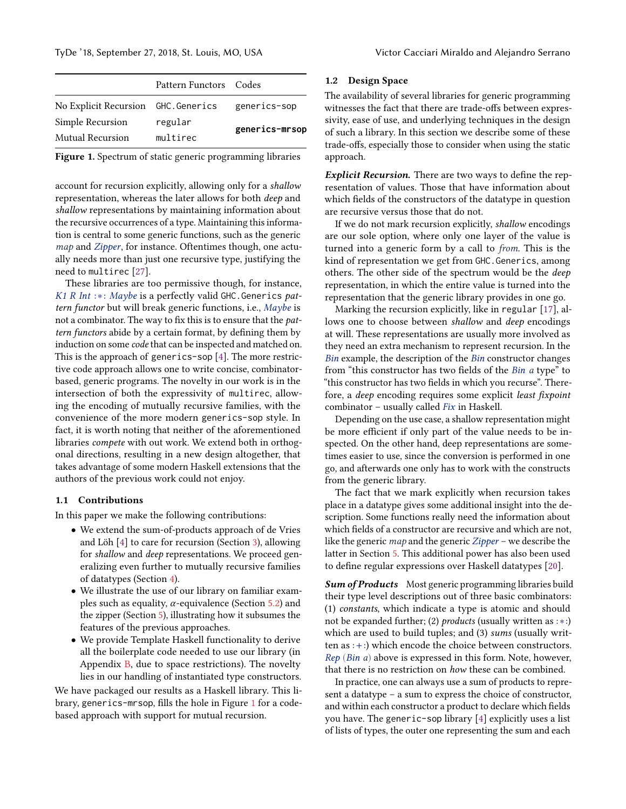<span id="page-1-0"></span>

|                                     | Pattern Functors Codes |                |  |
|-------------------------------------|------------------------|----------------|--|
| No Explicit Recursion GHC. Generics |                        | generics-sop   |  |
| Simple Recursion                    | regular                | generics-mrsop |  |
| <b>Mutual Recursion</b>             | multirec               |                |  |

Figure 1. Spectrum of static generic programming libraries

account for recursion explicitly, allowing only for a shallow representation, whereas the later allows for both deep and shallow representations by maintaining information about the recursive occurrences of a type. Maintaining this information is central to some generic functions, such as the generic map and Zipper, for instance. Oftentimes though, one actually needs more than just one recursive type, justifying the need to multirec [\[27\]](#page-12-8).

These libraries are too permissive though, for instance, K1 R Int :\*: Maybe is a perfectly valid GHC. Generics pattern functor but will break generic functions, i.e., Maybe is not a combinator. The way to fix this is to ensure that the pattern functors abide by a certain format, by defining them by induction on some code that can be inspected and matched on. This is the approach of generics-sop [\[4\]](#page-12-9). The more restrictive code approach allows one to write concise, combinatorbased, generic programs. The novelty in our work is in the intersection of both the expressivity of multirec, allowing the encoding of mutually recursive families, with the convenience of the more modern generics-sop style. In fact, it is worth noting that neither of the aforementioned libraries compete with out work. We extend both in orthogonal directions, resulting in a new design altogether, that takes advantage of some modern Haskell extensions that the authors of the previous work could not enjoy.

#### 1.1 Contributions

In this paper we make the following contributions:

- We extend the sum-of-products approach of de Vries and Löh [\[4\]](#page-12-9) to care for recursion (Section [3\)](#page-4-0), allowing for shallow and deep representations. We proceed generalizing even further to mutually recursive families of datatypes (Section [4\)](#page-6-0).
- We illustrate the use of our library on familiar examples such as equality,  $\alpha$ -equivalence (Section [5.2\)](#page-10-0) and the zipper (Section [5\)](#page-9-0), illustrating how it subsumes the features of the previous approaches.
- We provide Template Haskell functionality to derive all the boilerplate code needed to use our library (in Appendix  $B$ , due to space restrictions). The novelty lies in our handling of instantiated type constructors.

We have packaged our results as a Haskell library. This library, generics-mrsop, fills the hole in Figure [1](#page-1-0) for a codebased approach with support for mutual recursion.

## <span id="page-1-1"></span>1.2 Design Space

The availability of several libraries for generic programming witnesses the fact that there are trade-offs between expressivity, ease of use, and underlying techniques in the design of such a library. In this section we describe some of these trade-offs, especially those to consider when using the static approach.

Explicit Recursion. There are two ways to define the representation of values. Those that have information about which fields of the constructors of the datatype in question are recursive versus those that do not.

If we do not mark recursion explicitly, shallow encodings are our sole option, where only one layer of the value is turned into a generic form by a call to from. This is the kind of representation we get from GHC.Generics, among others. The other side of the spectrum would be the deep representation, in which the entire value is turned into the representation that the generic library provides in one go.

Marking the recursion explicitly, like in regular [\[17\]](#page-12-7), allows one to choose between shallow and deep encodings at will. These representations are usually more involved as they need an extra mechanism to represent recursion. In the Bin example, the description of the Bin constructor changes from "this constructor has two fields of the Bin a type" to "this constructor has two fields in which you recurse". Therefore, a deep encoding requires some explicit least fixpoint combinator – usually called  $Fix$  in Haskell.

Depending on the use case, a shallow representation might be more efficient if only part of the value needs to be inspected. On the other hand, deep representations are sometimes easier to use, since the conversion is performed in one go, and afterwards one only has to work with the constructs from the generic library.

The fact that we mark explicitly when recursion takes place in a datatype gives some additional insight into the description. Some functions really need the information about which fields of a constructor are recursive and which are not, like the generic *map* and the generic *Zipper* – we describe the latter in Section [5.](#page-9-0) This additional power has also been used to define regular expressions over Haskell datatypes [\[20\]](#page-12-10).

**Sum of Products** Most generic programming libraries build their type level descriptions out of three basic combinators: (1) constants, which indicate a type is atomic and should not be expanded further; (2) products (usually written as :∗:) which are used to build tuples; and (3) sums (usually written as :+:) which encode the choice between constructors.  $Rep (Bin a)$  above is expressed in this form. Note, however, that there is no restriction on how these can be combined.

In practice, one can always use a sum of products to represent a datatype – a sum to express the choice of constructor, and within each constructor a product to declare which fields you have. The generic-sop library [\[4\]](#page-12-9) explicitly uses a list of lists of types, the outer one representing the sum and each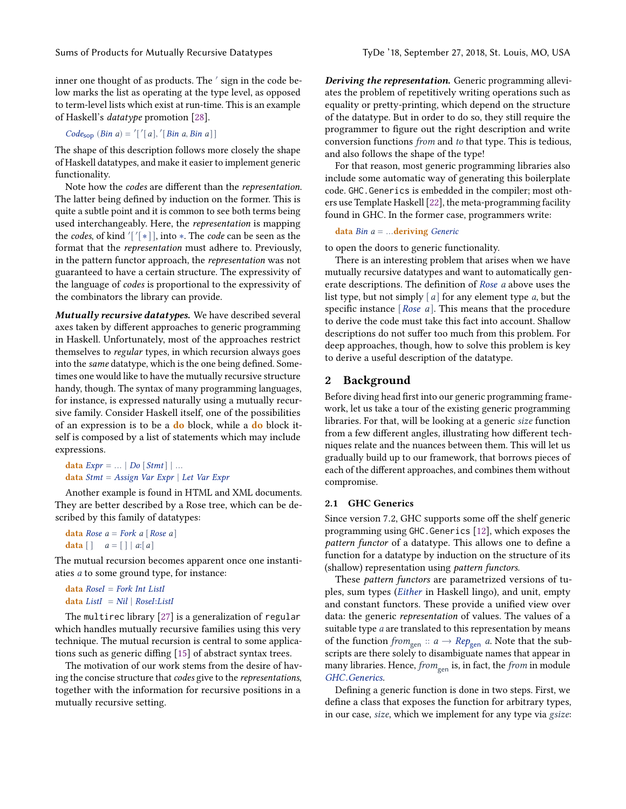inner one thought of as products. The ′ sign in the code below marks the list as operating at the type level, as opposed to term-level lists which exist at run-time. This is an example of Haskell's datatype promotion [\[28\]](#page-12-11).

 $Code<sub>sop</sub> (Bin a) = '['[a], '[Bin a, Bin a]]$ 

The shape of this description follows more closely the shape of Haskell datatypes, and make it easier to implement generic functionality.

Note how the codes are different than the representation. The latter being defined by induction on the former. This is quite a subtle point and it is common to see both terms being used interchangeably. Here, the representation is mapping the codes, of kind '['[ $*$ ]], into  $*$ . The code can be seen as the format that the representation must adhere to. Previously, in the pattern functor approach, the representation was not guaranteed to have a certain structure. The expressivity of the language of codes is proportional to the expressivity of the combinators the library can provide.

Mutually recursive datatypes. We have described several axes taken by different approaches to generic programming in Haskell. Unfortunately, most of the approaches restrict themselves to regular types, in which recursion always goes into the same datatype, which is the one being defined. Sometimes one would like to have the mutually recursive structure handy, though. The syntax of many programming languages, for instance, is expressed naturally using a mutually recursive family. Consider Haskell itself, one of the possibilities of an expression is to be a do block, while a do block itself is composed by a list of statements which may include expressions.

```
data Expr = ... | Do [Stmt] | ...data Stmt = Assign Var Expr | Let Var Expr
```
Another example is found in HTML and XML documents. They are better described by a Rose tree, which can be described by this family of datatypes:

```
data Rose a = Fork a [Rose a]data \begin{bmatrix} a \\ c \end{bmatrix} a = \begin{bmatrix} 1 & a \\ a & a \end{bmatrix}
```
The mutual recursion becomes apparent once one instantiaties a to some ground type, for instance:

```
data\; Rosel = Fork\;Int\;ListIdata ListI = Nil | Rosel:ListI
```
The multirec library [\[27\]](#page-12-8) is a generalization of regular which handles mutually recursive families using this very technique. The mutual recursion is central to some applications such as generic diffing [\[15\]](#page-12-12) of abstract syntax trees.

The motivation of our work stems from the desire of having the concise structure that codes give to the representations, together with the information for recursive positions in a mutually recursive setting.

Deriving the representation. Generic programming alleviates the problem of repetitively writing operations such as equality or pretty-printing, which depend on the structure of the datatype. But in order to do so, they still require the programmer to figure out the right description and write conversion functions from and to that type. This is tedious, and also follows the shape of the type!

For that reason, most generic programming libraries also include some automatic way of generating this boilerplate code. GHC.Generics is embedded in the compiler; most others use Template Haskell [\[22\]](#page-12-13), the meta-programming facility found in GHC. In the former case, programmers write:

#### data  $Bin \ a = \dots$ deriving Generic

to open the doors to generic functionality.

There is an interesting problem that arises when we have mutually recursive datatypes and want to automatically generate descriptions. The definition of Rose a above uses the list type, but not simply  $[a]$  for any element type  $a$ , but the specific instance  $[Rose\ a]$ . This means that the procedure to derive the code must take this fact into account. Shallow descriptions do not suffer too much from this problem. For deep approaches, though, how to solve this problem is key to derive a useful description of the datatype.

# 2 Background

Before diving head first into our generic programming framework, let us take a tour of the existing generic programming libraries. For that, will be looking at a generic size function from a few different angles, illustrating how different techniques relate and the nuances between them. This will let us gradually build up to our framework, that borrows pieces of each of the different approaches, and combines them without compromise.

#### <span id="page-2-0"></span>2.1 GHC Generics

Since version <sup>7</sup>.2, GHC supports some off the shelf generic programming using GHC.Generics [\[12\]](#page-12-4), which exposes the pattern functor of a datatype. This allows one to define a function for a datatype by induction on the structure of its (shallow) representation using pattern functors.

These pattern functors are parametrized versions of tuples, sum types (Either in Haskell lingo), and unit, empty and constant functors. These provide a unified view over data: the generic representation of values. The values of a suitable type a are translated to this representation by means of the function  $from_{gen} :: a \rightarrow Rep_{gen} a$ . Note that the subscripts are there solely to disambiguate names that appear in many libraries. Hence,  $from_{\text{gen}}$  is, in fact, the  $from$  in module GHC.Generics.

Defining a generic function is done in two steps. First, we define a class that exposes the function for arbitrary types, in our case, size, which we implement for any type via gsize: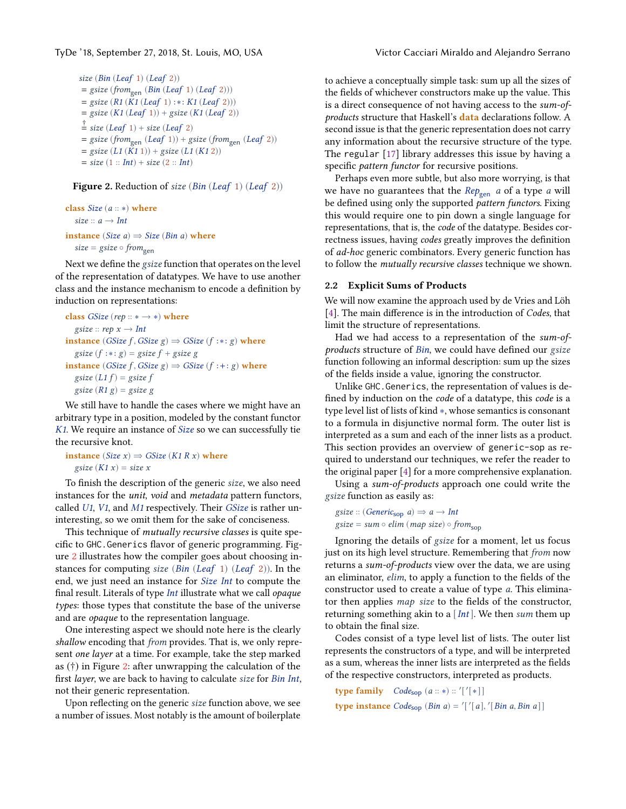<span id="page-3-0"></span>size (Bin (Leaf 1) (Leaf 2))  $=$  gsize (from<sub>gen</sub> (Bin (Leaf 1) (Leaf 2)))  $=$  gsize (R1 ( $\overline{K1}$  (Leaf 1) :\*: K1 (Leaf 2)))  $=$  gsize  $(K1 (Leaf 1)) +$  gsize  $(K1 (Leaf 2))$  $\frac{1}{x}$  size (Leaf 1) + size (Leaf 2)  $=$  gsize (from<sub>gen</sub> (Leaf 1)) + gsize (from<sub>gen</sub> (Leaf 2))  $=$  gsize  $(L1(K11)) +$  gsize  $(L1(K12))$  $= size (1 :: Int) + size (2 :: Int)$ 

Figure 2. Reduction of size (Bin (Leaf 1) (Leaf 2))

```
class Size (a::*) where
   size \therefore a \rightarrow Intinstance (Size a) \Rightarrow Size (Bin a) where
   size = gsize \circ from_{gen}
```
Next we define the gsize function that operates on the level of the representation of datatypes. We have to use another class and the instance mechanism to encode a definition by induction on representations:

```
class GSize (rep :: * \rightarrow *) where
   gsize :: rep x \rightarrow Intinstance (GSize f, GSize g) \Rightarrow GSize (f :*: g) where
  gsize (f :∗: g) = gsize f + gsize g
instance (GSize f, GSize g) \Rightarrow GSize (f :+: g) where
  gsize (L1 f) =gsize f
  gsize (R1 g) = gsize g
```
We still have to handle the cases where we might have an arbitrary type in a position, modeled by the constant functor K1. We require an instance of Size so we can successfully tie the recursive knot.

```
instance (Size x) \Rightarrow GSize (K1 R x) where
  gsize (K1 x) = size x
```
To finish the description of the generic size, we also need instances for the unit, void and metadata pattern functors, called U1, V1, and M1 respectively. Their GSize is rather uninteresting, so we omit them for the sake of conciseness.

This technique of mutually recursive classes is quite specific to GHC.Generics flavor of generic programming. Figure [2](#page-3-0) illustrates how the compiler goes about choosing instances for computing size (Bin (Leaf 1) (Leaf 2)). In the end, we just need an instance for Size Int to compute the final result. Literals of type Int illustrate what we call opaque types: those types that constitute the base of the universe and are opaque to the representation language.

One interesting aspect we should note here is the clearly shallow encoding that *from* provides. That is, we only represent one layer at a time. For example, take the step marked as (†) in Figure [2:](#page-3-0) after unwrapping the calculation of the first layer, we are back to having to calculate size for Bin Int, not their generic representation.

Upon reflecting on the generic size function above, we see a number of issues. Most notably is the amount of boilerplate

to achieve a conceptually simple task: sum up all the sizes of the fields of whichever constructors make up the value. This is a direct consequence of not having access to the sum-ofproducts structure that Haskell's data declarations follow. A second issue is that the generic representation does not carry any information about the recursive structure of the type. The regular [\[17\]](#page-12-7) library addresses this issue by having a specific pattern functor for recursive positions.

Perhaps even more subtle, but also more worrying, is that we have no guarantees that the  $Rep_{gen}$  a of a type a will be defined using only the supported pattern functors. Fixing this would require one to pin down a single language for representations, that is, the code of the datatype. Besides correctness issues, having codes greatly improves the definition of ad-hoc generic combinators. Every generic function has to follow the mutually recursive classes technique we shown.

## <span id="page-3-1"></span>2.2 Explicit Sums of Products

We will now examine the approach used by de Vries and Löh [\[4\]](#page-12-9). The main difference is in the introduction of Codes, that limit the structure of representations.

Had we had access to a representation of the sum-ofproducts structure of Bin, we could have defined our gsize function following an informal description: sum up the sizes of the fields inside a value, ignoring the constructor.

Unlike GHC.Generics, the representation of values is defined by induction on the *code* of a datatype, this *code* is a type level list of lists of kind ∗, whose semantics is consonant to a formula in disjunctive normal form. The outer list is interpreted as a sum and each of the inner lists as a product. This section provides an overview of generic-sop as required to understand our techniques, we refer the reader to the original paper [\[4\]](#page-12-9) for a more comprehensive explanation.

Using a sum-of-products approach one could write the gsize function as easily as:

 $gsize :: (Generic<sub>sop</sub> a) \Rightarrow a \rightarrow Int$  $gsize = sum \circ elim (map size) \circ from_{\text{son}}$ 

Ignoring the details of gsize for a moment, let us focus just on its high level structure. Remembering that from now returns a sum-of-products view over the data, we are using an eliminator, elim, to apply a function to the fields of the constructor used to create a value of type a. This eliminator then applies map size to the fields of the constructor, returning something akin to a  $[Int]$ . We then sum them up to obtain the final size.

Codes consist of a type level list of lists. The outer list represents the constructors of a type, and will be interpreted as a sum, whereas the inner lists are interpreted as the fields of the respective constructors, interpreted as products.

```
type family Code_{\text{sop}}(a::*)::'['[*]]type instance Code_{\text{sop}}(Bin\ a) = '\lceil' [a], '[Bin\ a, Bin\ a] \rceil
```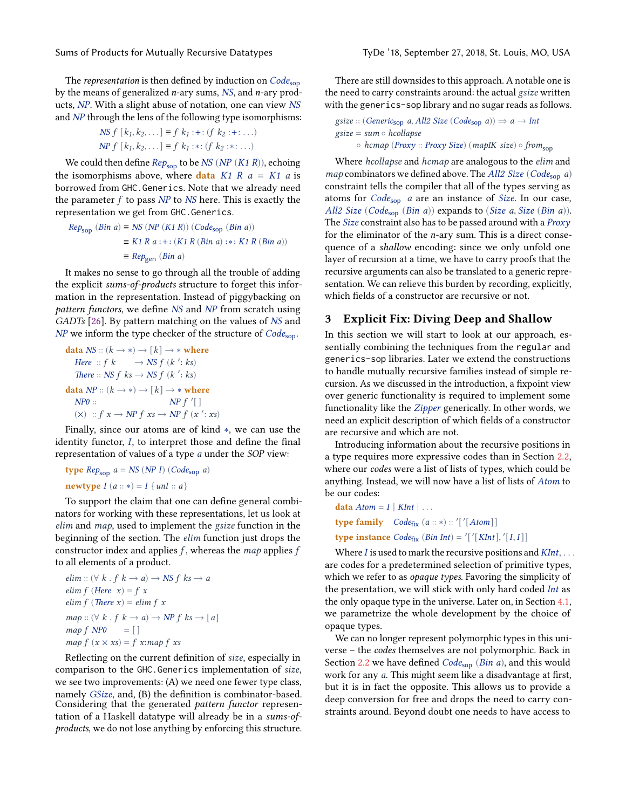Sums of Products for Mutually Recursive Datatypes TyDe '18, September 27, 2018, St. Louis, MO, USA

The representation is then defined by induction on  $Code<sub>son</sub>$ by the means of generalized n-ary sums, NS, and n-ary products, NP. With a slight abuse of notation, one can view NS and NP through the lens of the following type isomorphisms:

$$
NS f [k1, k2,...] \equiv f k1 : +: (f k2 : +:...)
$$
  
NP f [k<sub>1</sub>, k<sub>2</sub>,...]  $\equiv f k1 : *: (f k2 : *:...)$ 

We could then define  $Rep_{son}$  to be *NS* (*NP* (*K1 R*)), echoing the isomorphisms above, where **data**  $K1 \ R \ a = K1 \ a$  is borrowed from GHC.Generics. Note that we already need the parameter  $f$  to pass  $NP$  to  $NS$  here. This is exactly the representation we get from GHC.Generics.

$$
Rep_{\text{sop}}\ (Bin\ a) \equiv NS\ (NP\ (KI\ R))\ (Code_{\text{sop}}\ (Bin\ a))
$$

$$
\equiv K1\ R\ a\ \text{::}\ \text{::}\ (K1\ R\ (Bin\ a)\ \text{::}\ \text{::}\ K1\ R\ (Bin\ a))
$$

$$
\equiv Rep_{\text{gen}}\ (Bin\ a)
$$

It makes no sense to go through all the trouble of adding the explicit sums-of-products structure to forget this information in the representation. Instead of piggybacking on pattern functors, we define NS and NP from scratch using GADTs [\[26\]](#page-12-14). By pattern matching on the values of NS and  $NP$  we inform the type checker of the structure of  $Code<sub>sop</sub>$ .

**data** 
$$
NS :: (k \rightarrow *) \rightarrow [k] \rightarrow *
$$
 **where**  
\nHere :: f k  $\rightarrow NS f (k':ks)$   
\nThere ::  $NS f ks \rightarrow NS f (k':ks)$   
\n**data**  $NP :: (k \rightarrow *) \rightarrow [k] \rightarrow *$  **where**  
\n $NP0 :: NP f'[]$   
\n $(x) :: f x \rightarrow NP f xs \rightarrow NP f (x':xs)$ 

Finally, since our atoms are of kind ∗, we can use the identity functor, I, to interpret those and define the final representation of values of a type a under the SOP view:

```
type Rep_{\text{sop}} a = NS (NP I) (Code_{\text{sop}} a)newtype I (a::*) = I \{ \text{unI} :: a \}
```
To support the claim that one can define general combinators for working with these representations, let us look at elim and map, used to implement the gsize function in the beginning of the section. The elim function just drops the constructor index and applies  $f$ , whereas the map applies  $f$ to all elements of a product.

```
elim :: (\forall k \cdot f \& \rightarrow a) \rightarrow NS f \& \rightarrow aelim f (Here x) = f x
elim f (There x) = elim f xmap :: (\forall k . f k \rightarrow a) \rightarrow NP f ks \rightarrow [a]map f \; NP0 = []map f(x \times xs) = f(x): map f(x)s
```
Reflecting on the current definition of size, especially in comparison to the GHC.Generics implementation of size, we see two improvements: (A) we need one fewer type class, namely GSize, and, (B) the definition is combinator-based. Considering that the generated pattern functor representation of a Haskell datatype will already be in a sums-ofproducts, we do not lose anything by enforcing this structure.

There are still downsides to this approach. A notable one is the need to carry constraints around: the actual gsize written with the generics-sop library and no sugar reads as follows.

```
gsize :: (Generic<sub>sop</sub> a, All2 Size (Code<sub>sop</sub> a)) \Rightarrow a \rightarrow Int
gsize = sum \circ hcollapse◦ hcmap (Proxy :: Proxy Size) (mapIK size) ◦ fromsop
```
Where *hcollapse* and *hcmap* are analogous to the *elim* and map combinators we defined above. The All2 Size (Codesop a) constraint tells the compiler that all of the types serving as atoms for  $Code<sub>sop</sub>$  a are an instance of *Size*. In our case, All2 Size (Code<sub>sop</sub> (Bin a)) expands to (Size a, Size (Bin a)). The *Size* constraint also has to be passed around with a *Proxy* for the eliminator of the  $n$ -ary sum. This is a direct consequence of a shallow encoding: since we only unfold one layer of recursion at a time, we have to carry proofs that the recursive arguments can also be translated to a generic representation. We can relieve this burden by recording, explicitly, which fields of a constructor are recursive or not.

# <span id="page-4-0"></span>3 Explicit Fix: Diving Deep and Shallow

In this section we will start to look at our approach, essentially combining the techniques from the regular and generics-sop libraries. Later we extend the constructions to handle mutually recursive families instead of simple recursion. As we discussed in the introduction, a fixpoint view over generic functionality is required to implement some functionality like the Zipper generically. In other words, we need an explicit description of which fields of a constructor are recursive and which are not.

Introducing information about the recursive positions in a type requires more expressive codes than in Section [2.2,](#page-3-1) where our codes were a list of lists of types, which could be anything. Instead, we will now have a list of lists of Atom to be our codes:

data  $Atom = I | KInt | ...$ type family  $Code_{fix} (a::*)::'['[Atom]]$ type instance  $Code_{fix}$  (Bin Int) = '['[KInt],'[I,I]]

Where I is used to mark the recursive positions and  $KInt$ , ... are codes for a predetermined selection of primitive types, which we refer to as *opaque types*. Favoring the simplicity of the presentation, we will stick with only hard coded Int as the only opaque type in the universe. Later on, in Section [4.1,](#page-8-0) we parametrize the whole development by the choice of opaque types.

We can no longer represent polymorphic types in this universe – the codes themselves are not polymorphic. Back in Section [2.2](#page-3-1) we have defined  $Code_{\text{sop}}$  (Bin a), and this would work for any a. This might seem like a disadvantage at first, but it is in fact the opposite. This allows us to provide a deep conversion for free and drops the need to carry constraints around. Beyond doubt one needs to have access to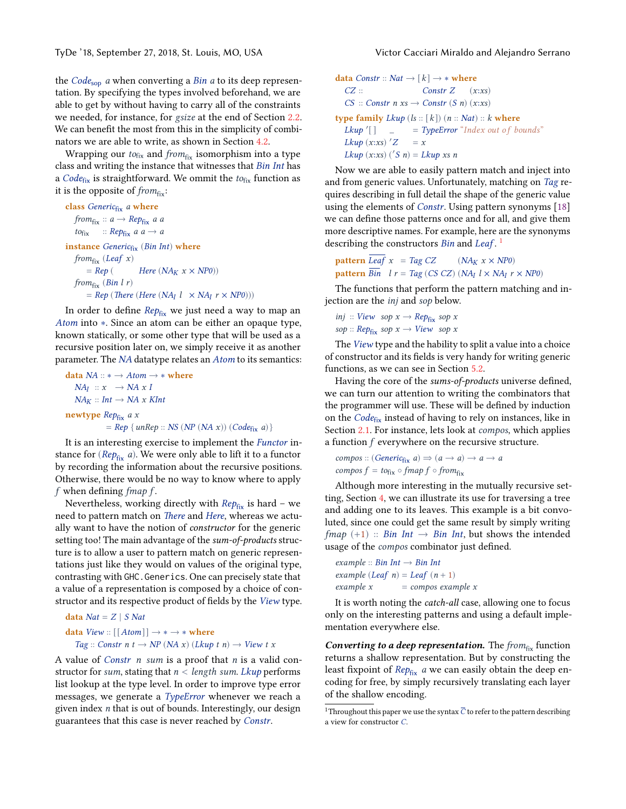the  $Code<sub>sop</sub>$  a when converting a Bin a to its deep representation. By specifying the types involved beforehand, we are able to get by without having to carry all of the constraints we needed, for instance, for gsize at the end of Section [2.2.](#page-3-1) We can benefit the most from this in the simplicity of combinators we are able to write, as shown in Section [4.2.](#page-9-1)

Wrapping our  $to$ <sub>fix</sub> and  $from$ <sub>fix</sub> isomorphism into a type class and writing the instance that witnesses that Bin Int has a  $Code_{fix}$  is straightforward. We ommit the  $to_{fix}$  function as it is the opposite of  $from$ <sub>fix</sub>:

```
class \text{Generic}_{\text{fix}} a where
   from<sub>fix</sub> :: a \rightarrow Rep_{fix} a ato t<sub>fix</sub> \therefore Rep<sub>fix</sub> a \neq ainstance \emph{Generic}_{\text{fix}} (\emph{Bin Int}) where
   from<sub>fix</sub> (Leaf x)<br>= Rep(Here (NA_K x \times NP0)from<sub>fix</sub> (Bin l r)
          = Rep (There (Here (NA<sub>I</sub> l \times NA_I r \times NP0)))
```
In order to define  $Rep_{fix}$  we just need a way to map an Atom into ∗. Since an atom can be either an opaque type, known statically, or some other type that will be used as a recursive position later on, we simply receive it as another parameter. The NA datatype relates an Atom to its semantics:

```
data NA :: * \rightarrow Atom \rightarrow * where
   NA_I :: x \rightarrow NA x INA_K :: Int \rightarrow NA \times KIntnewtype Rep_{fix} a x
             = Rep { unRep :: NS (NP (NA x)) (Code_{fix} a) }
```
It is an interesting exercise to implement the Functor instance for  $(\text{Rep}_{fix} \ a)$ . We were only able to lift it to a functor by recording the information about the recursive positions. Otherwise, there would be no way to know where to apply  $f$  when defining  $fmap f$ .

Nevertheless, working directly with  $Rep_{fix}$  is hard – we need to pattern match on There and Here, whereas we actually want to have the notion of constructor for the generic setting too! The main advantage of the sum-of-products structure is to allow a user to pattern match on generic representations just like they would on values of the original type, contrasting with GHC.Generics. One can precisely state that a value of a representation is composed by a choice of constructor and its respective product of fields by the View type.

\n- **data** 
$$
Nat = Z \mid S
$$
  $Nat$
\n- **data**  $View :: [[Atom]] \rightarrow * \rightarrow *$  **where**  $Tag :: Constr \, n \, t \rightarrow NP$   $(NA \, x) \, (Lkup \, t \, n) \rightarrow View \, t \, x$
\n

A value of *Constr n sum* is a proof that  $n$  is a valid constructor for sum, stating that  $n < length$  sum. Lkup performs list lookup at the type level. In order to improve type error messages, we generate a TypeError whenever we reach a given index  $n$  that is out of bounds. Interestingly, our design guarantees that this case is never reached by Constr.

data Constr :: Nat  $\rightarrow$  [k]  $\rightarrow$  \* where  $CZ$  ::  $\qquad \qquad \text{Constr } Z \qquad (x:xs)$  $CS :: Constr n xs \rightarrow Constr (S n) (x:xs)$ type family  $Lkup$  ( $ls$  :: [ $k$ ]) ( $n$  :: Nat) ::  $k$  where

 $Lkup$   $\lceil$   $\rceil$   $\qquad$  $= Type Error$ "Index out of bounds" Lkup  $(x:xs)'Z$  $= x$  $Lkup(x:xs)$  ('S n) =  $Lkup xs n$ 

Now we are able to easily pattern match and inject into and from generic values. Unfortunately, matching on Tag requires describing in full detail the shape of the generic value using the elements of *Constr*. Using pattern synonyms [\[18\]](#page-12-15) we can define those patterns once and for all, and give them more descriptive names. For example, here are the synonyms describing the constructors Bin and Leaf.<sup>[1](#page-5-0)</sup>

pattern  $\overline{Leaf} x = Tag CZ$  (NA<sub>K</sub>  $x \times NP0$ ) **pattern**  $\overline{Bin}$   $l r = Tag (CS CZ) (NA_I l \times NA_I r \times NP0)$ 

The functions that perform the pattern matching and injection are the inj and sop below.

inj :: View sop  $x \rightarrow Rep_{fix}$  sop x sop :: Repfix sop  $x \rightarrow$  View sop x

The View type and the hability to split a value into a choice of constructor and its fields is very handy for writing generic functions, as we can see in Section [5.2.](#page-10-0)

Having the core of the sums-of-products universe defined, we can turn our attention to writing the combinators that the programmer will use. These will be defined by induction on the  $Code_{fix}$  instead of having to rely on instances, like in Section [2.1.](#page-2-0) For instance, lets look at compos, which applies a function f everywhere on the recursive structure.

```
compos :: (Generic<sub>fix</sub> a) \Rightarrow (a \rightarrow a) \rightarrow a \rightarrow acompos f = to_{fix} \circ fmap f \circ from_{fix}
```
Although more interesting in the mutually recursive setting, Section [4,](#page-6-0) we can illustrate its use for traversing a tree and adding one to its leaves. This example is a bit convoluted, since one could get the same result by simply writing fmap  $(+1)$  :: Bin Int  $\rightarrow$  Bin Int, but shows the intended usage of the compos combinator just defined.

example  $:: Bin Int \rightarrow Bin Int$ example (Leaf  $n$ ) = Leaf  $(n + 1)$  $example x = compose example x$ 

It is worth noting the catch-all case, allowing one to focus only on the interesting patterns and using a default implementation everywhere else.

Converting to a deep representation. The from  $f_{fix}$  function returns a shallow representation. But by constructing the least fixpoint of  $Rep_{fix}$  a we can easily obtain the deep encoding for free, by simply recursively translating each layer of the shallow encoding.

<span id="page-5-0"></span><sup>&</sup>lt;sup>1</sup>Throughout this paper we use the syntax  $\bar{C}$  to refer to the pattern describing a view for constructor C.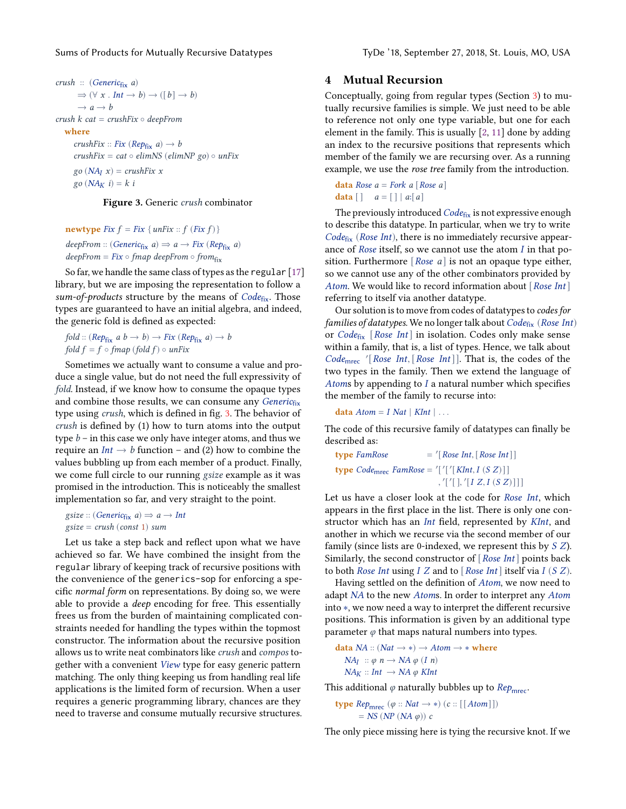Sums of Products for Mutually Recursive Datatypes Type '18, September 27, 2018, St. Louis, MO, USA

```
crush :: (Genericf_{iX} a)
        \Rightarrow (\forall~x . \mathit{Int}\rightarrow b)\rightarrow ([ b\,]\rightarrow b)\rightarrow a \rightarrow bcrush k cat = crushFix \circ deepFrom
   where
       crushFix :: Fix (Rep_{fix} a) \rightarrow bcrushFix = cat \circ elimNS (elimNP go) \circ unFix
       go (NA_I x) = crushFix x
       go (NA_K i) = k i
```
Figure 3. Generic crush combinator

newtype  $Fix f = Fix \{unFix :: f (Fix f)\}$  $deepFrom :: (Generic<sub>fix</sub> a) \Rightarrow a \rightarrow Fix (Rep<sub>fix</sub> a)$  $deepFrom = Fix \circ fmap \text{ deepFrom} \circ from$ 

So far, we handle the same class of types as the regular [\[17\]](#page-12-7) library, but we are imposing the representation to follow a sum-of-products structure by the means of Codefix. Those types are guaranteed to have an initial algebra, and indeed, the generic fold is defined as expected:

$$
fold :: (Rep_{fix} a b \rightarrow b) \rightarrow Fix (Rep_{fix} a) \rightarrow b
$$
  

$$
fold f = f \circ fmap (fold f) \circ unFix
$$

Sometimes we actually want to consume a value and produce a single value, but do not need the full expressivity of fold. Instead, if we know how to consume the opaque types and combine those results, we can consume any  $\overline{Generic}_{fix}$ type using crush, which is defined in fig. [3.](#page-6-1) The behavior of crush is defined by (1) how to turn atoms into the output type  $b$  – in this case we only have integer atoms, and thus we require an  $Int \rightarrow b$  function – and (2) how to combine the values bubbling up from each member of a product. Finally, we come full circle to our running gsize example as it was promised in the introduction. This is noticeably the smallest implementation so far, and very straight to the point.

gsize :: (Generic<sub>fix</sub> a)  $\Rightarrow$  a  $\rightarrow$  Int  $gsize = crush (const 1) sum$ 

Let us take a step back and reflect upon what we have achieved so far. We have combined the insight from the regular library of keeping track of recursive positions with the convenience of the generics-sop for enforcing a specific normal form on representations. By doing so, we were able to provide a deep encoding for free. This essentially frees us from the burden of maintaining complicated constraints needed for handling the types within the topmost constructor. The information about the recursive position allows us to write neat combinators like crush and compos together with a convenient View type for easy generic pattern matching. The only thing keeping us from handling real life applications is the limited form of recursion. When a user requires a generic programming library, chances are they need to traverse and consume mutually recursive structures.

## <span id="page-6-0"></span>4 Mutual Recursion

Conceptually, going from regular types (Section [3\)](#page-4-0) to mutually recursive families is simple. We just need to be able to reference not only one type variable, but one for each element in the family. This is usually [\[2,](#page-11-0) [11\]](#page-12-16) done by adding an index to the recursive positions that represents which member of the family we are recursing over. As a running example, we use the rose tree family from the introduction.

data Rose  $a = Fork a [Rose a]$ **data**  $\begin{bmatrix} a \\ c \end{bmatrix}$   $a = \begin{bmatrix} 1 & a \\ a & b \end{bmatrix}$ 

The previously introduced Codefix is not expressive enough to describe this datatype. In particular, when we try to write  $Code_{fix}$  (Rose Int), there is no immediately recursive appearance of Rose itself, so we cannot use the atom I in that position. Furthermore  $[Rose a]$  is not an opaque type either, so we cannot use any of the other combinators provided by Atom. We would like to record information about  $[Rose Int]$ referring to itself via another datatype.

Our solution is to move from codes of datatypes to codes for families of datatypes. We no longer talk about  $Code_{fix}$  (Rose Int) or  $Code_{fix}$  [Rose Int] in isolation. Codes only make sense within a family, that is, a list of types. Hence, we talk about  $Code_{\text{mrec}}$  '[Rose Int, [Rose Int]]. That is, the codes of the two types in the family. Then we extend the language of two types in the family. Then we extend the language of Atoms by appending to  $I$  a natural number which specifies the member of the family to recurse into:

data  $Atom = I Nat | KInt | ...$ 

The code of this recursive family of datatypes can finally be described as:

```
type FamRose
                                                   \mathcal{C}[Rose Int, [Rose Int]]
type Code_{\text{mrec}} FamRose = \left[ \left[ \left[ \left[ \left[ \text{KInt}, I \right] (S Z) \right] \right] \right] \right]'['[], '[IZ, I (S Z)]]]
```
Let us have a closer look at the code for *Rose Int*, which appears in the first place in the list. There is only one constructor which has an Int field, represented by KInt, and another in which we recurse via the second member of our family (since lists are 0-indexed, we represent this by  $S Z$ ). Similarly, the second constructor of  $[Rose Int]$  points back to both *Rose Int* using  $I Z$  and to  $[Rose Int]$  itself via  $I (S Z)$ .

Having settled on the definition of Atom, we now need to adapt NA to the new Atoms. In order to interpret any Atom into ∗, we now need a way to interpret the different recursive positions. This information is given by an additional type parameter  $\varphi$  that maps natural numbers into types.

data  $NA$  :: ( $Nat \rightarrow *) \rightarrow Atom \rightarrow *$  where  $NA_I :: \varphi n \rightarrow NA \varphi (I n)$  $NA_K :: Int \rightarrow NA \varphi KInt$ 

This additional  $\varphi$  naturally bubbles up to  $Rep_{\text{mrec}}$ .

**type** 
$$
Rep_{\text{mrec}} (\varphi :: Nat \rightarrow *) (c :: [[Atom]])
$$
  
=  $NS (NP (NA \varphi)) c$ 

The only piece missing here is tying the recursive knot. If we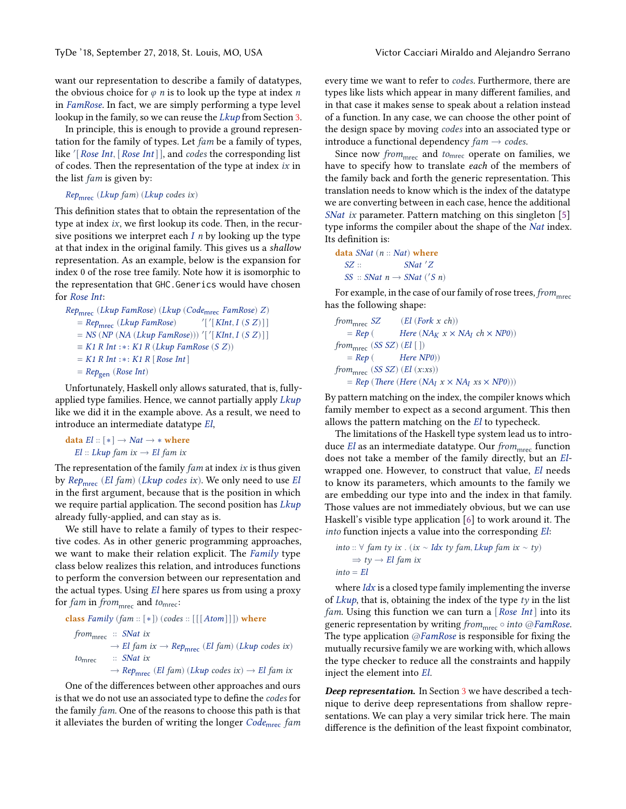want our representation to describe a family of datatypes, the obvious choice for  $\varphi$  *n* is to look up the type at index *n* in FamRose. In fact, we are simply performing a type level lookup in the family, so we can reuse the Lkup from Section [3.](#page-4-0)

In principle, this is enough to provide a ground representation for the family of types. Let fam be a family of types, like '[Rose Int, [Rose Int]], and codes the corresponding list of codes. Then the representation of the type at index ix in of codes. Then the representation of the type at index ix in the list fam is given by:

 $Rep_{\text{mrec}} (Lkup fam) (Lkup codes ix)$ 

This definition states that to obtain the representation of the type at index ix, we first lookup its code. Then, in the recursive positions we interpret each  $I$  n by looking up the type at that index in the original family. This gives us a shallow representation. As an example, below is the expansion for index 0 of the rose tree family. Note how it is isomorphic to the representation that GHC.Generics would have chosen for Rose Int:

```
Repmrec (Lkup FamRose) (Lkup (Codemrec FamRose) Z)
     = Rep_{\text{mrec}} (Lkup \text{ Fam} Rose)\frac{V[\text{KInt}, I(SZ)]}{V[\text{KInt}, I(SZ)]}= NS (NP (NA (Lkup FamRose)))'[KInt, I (S Z)]<br>= K1 B_{Lkt,1} K1 B (Llum FemRose (S Z))\equiv K1 \; R \; Int: \cdot K1 \; R \; (Lkup \; FamRose \; (S \; Z))= K1 \, R \, Int : * : K1 \, R \, [Rose Int]= \mathop{\mathrm{Rep}}\nolimits_{\mathop{\mathrm{gen}}\nolimits} (Rose Int)
```
Unfortunately, Haskell only allows saturated, that is, fullyapplied type families. Hence, we cannot partially apply Lkup like we did it in the example above. As a result, we need to introduce an intermediate datatype El,

```
data El :: [*] \rightarrow Nat \rightarrow * where
   El :: Lkup fam ix \rightarrow El fam ix
```
The representation of the family  $fam$  at index  $ix$  is thus given by  $Rep_{\text{mrec}}$  (El fam) (Lkup codes ix). We only need to use El in the first argument, because that is the position in which we require partial application. The second position has Lkup already fully-applied, and can stay as is.

We still have to relate a family of types to their respective codes. As in other generic programming approaches, we want to make their relation explicit. The Family type class below realizes this relation, and introduces functions to perform the conversion between our representation and the actual types. Using El here spares us from using a proxy for fam in from  $_{\text{mrec}}$  and  $to_{\text{mrec}}$ :

```
\n
$$
\text{class Family (fam::[*]) (codes::[[[Atom]]])\nwhere\n \text{from} \quad :: \text{SNat } ix\n \to El fam ix \to \text{Rep}_{\text{mrec}} \text{ (El fam) (Lkup codes ix)}
$$
\n\n $\text{to} \quad :: \text{SNat } ix\n \to \text{Rep}_{\text{mrec}} \text{ (El fam) (Lkup codes ix)} \to El fam ix$ \n
```

One of the differences between other approaches and ours is that we do not use an associated type to define the codes for the family fam. One of the reasons to choose this path is that it alleviates the burden of writing the longer  $Code_{\text{mrec}}$  fam

every time we want to refer to codes. Furthermore, there are types like lists which appear in many different families, and in that case it makes sense to speak about a relation instead of a function. In any case, we can choose the other point of the design space by moving codes into an associated type or introduce a functional dependency  $fam \rightarrow codes$ .

Since now  $from<sub>mrec</sub>$  and  $to<sub>mrec</sub>$  operate on families, we have to specify how to translate *each* of the members of the family back and forth the generic representation. This translation needs to know which is the index of the datatype we are converting between in each case, hence the additional SNat ix parameter. Pattern matching on this singleton [\[5\]](#page-12-17) type informs the compiler about the shape of the Nat index. Its definition is:

data  $SNat(n::Nat)$  where SZ :: SNat ′Z  $SS :: SNat \t n \rightarrow SNat('S \t n)$ 

For example, in the case of our family of rose trees,  $from<sub>mere</sub>$ has the following shape:

 $from$ <sub>mrec</sub> SZ (El (Fork x ch))  $=$  Rep ( Here (NA<sub>K</sub>  $x \times NA_I$  ch  $\times$  NP0))  $from_{\rm mrec}$   $(SS~SZ)~(El$  [ ])  $=$  Rep (Here NP0))  $from$ <sub>mrec</sub> (SS SZ) (El  $(x:xs)$ )  $=$  Rep (There (Here (NA<sub>I</sub>  $x \times NA$ <sub>I</sub>  $xs \times NP0$ )))

By pattern matching on the index, the compiler knows which family member to expect as a second argument. This then allows the pattern matching on the  $El$  to typecheck.

The limitations of the Haskell type system lead us to introduce  $El$  as an intermediate datatype. Our  $from_{merc}$  function does not take a member of the family directly, but an Elwrapped one. However, to construct that value, El needs to know its parameters, which amounts to the family we are embedding our type into and the index in that family. Those values are not immediately obvious, but we can use Haskell's visible type application [\[6\]](#page-12-18) to work around it. The into function injects a value into the corresponding El:

```
into :: \forall fam ty ix . (ix ∼ Idx ty fam, Lkup fam ix ∼ ty)
     \Rightarrow ty \rightarrow El fam ix
into = El
```
where  $\frac{Idx}{dx}$  is a closed type family implementing the inverse of  $Lkup$ , that is, obtaining the index of the type  $ty$  in the list fam. Using this function we can turn a  $[Rose Int]$  into its generic representation by writing from<sub>mrec</sub> ∘ into @FamRose. The type application @FamRose is responsible for fixing the mutually recursive family we are working with, which allows the type checker to reduce all the constraints and happily inject the element into El.

Deep representation. In Section [3](#page-4-0) we have described a technique to derive deep representations from shallow representations. We can play a very similar trick here. The main difference is the definition of the least fixpoint combinator,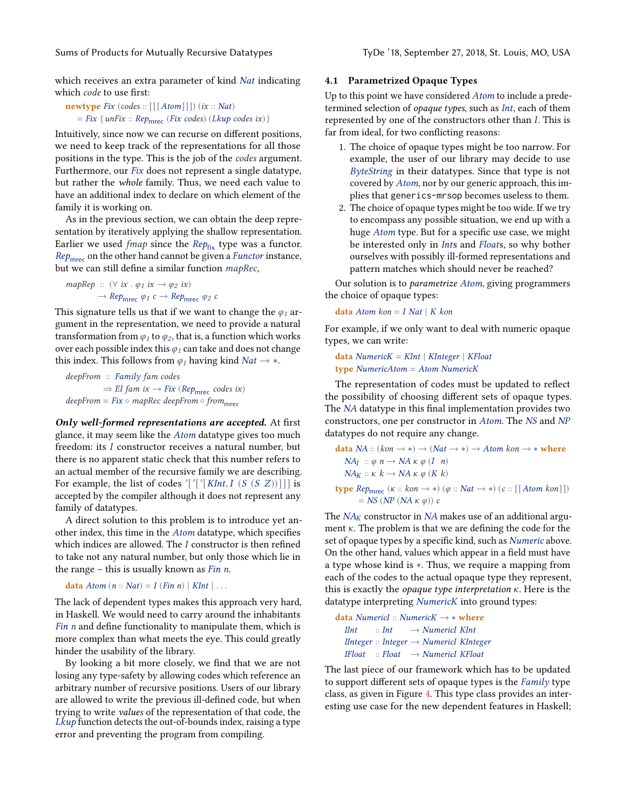which receives an extra parameter of kind Nat indicating which code to use first:

```
newtype Fix (codes :: [[[Atom]]]) (ix :: Nat)
   = Fix \{ unFix : Rep_{mrec} (Fix codes) (Lkup codes ix) \}
```
Intuitively, since now we can recurse on different positions, we need to keep track of the representations for all those positions in the type. This is the job of the codes argument. Furthermore, our Fix does not represent a single datatype, but rather the whole family. Thus, we need each value to have an additional index to declare on which element of the family it is working on.

As in the previous section, we can obtain the deep representation by iteratively applying the shallow representation. Earlier we used *fmap* since the  $Rep_{fix}$  type was a functor.  $Rep<sub>mrec</sub>$  on the other hand cannot be given a *Functor* instance, but we can still define a similar function mapRec,

$$
\begin{aligned}\n\text{mapRep} &\;:: \; (\forall \; \text{ix. } \varphi_1 \; \text{ix} \rightarrow \varphi_2 \; \text{ix}) \\
&\rightarrow \text{Rep}_{\text{mrec}} \; \varphi_1 \; c \rightarrow \text{Rep}_{\text{mrec}} \; \varphi_2 \; c\n\end{aligned}
$$

This signature tells us that if we want to change the  $\varphi_1$  argument in the representation, we need to provide a natural transformation from  $\varphi_1$  to  $\varphi_2$ , that is, a function which works over each possible index this  $\varphi_1$  can take and does not change this index. This follows from  $\varphi_1$  having kind Nat  $\rightarrow$   $*$ .

deepFrom :: Family fam codes  $\Rightarrow$  El fam ix  $\rightarrow$  Fix (Rep<sub>mrec</sub> codes ix)  $deepFrom = Fix \circ mapRec deepFrom \circ from_{merc}$ 

Only well-formed representations are accepted. At first glance, it may seem like the Atom datatype gives too much freedom: its I constructor receives a natural number, but there is no apparent static check that this number refers to an actual member of the recursive family we are describing. For example, the list of codes '['['[KInt, I (S (S Z))]]] is<br>accepted by the compiler although it does not represent any accepted by the compiler although it does not represent any family of datatypes.

A direct solution to this problem is to introduce yet another index, this time in the Atom datatype, which specifies which indices are allowed. The I constructor is then refined to take not any natural number, but only those which lie in the range – this is usually known as  $Fin$  n.

```
data Atom (n:: Nat) = I (Fin n) | KInt | ...
```
The lack of dependent types makes this approach very hard, in Haskell. We would need to carry around the inhabitants Fin n and define functionality to manipulate them, which is more complex than what meets the eye. This could greatly hinder the usability of the library.

By looking a bit more closely, we find that we are not losing any type-safety by allowing codes which reference an arbitrary number of recursive positions. Users of our library are allowed to write the previous ill-defined code, but when trying to write values of the representation of that code, the Lkup function detects the out-of-bounds index, raising a type error and preventing the program from compiling.

### <span id="page-8-0"></span>4.1 Parametrized Opaque Types

Up to this point we have considered Atom to include a predetermined selection of *opaque types*, such as  $Int$ , each of them represented by one of the constructors other than I. This is far from ideal, for two conflicting reasons:

- 1. The choice of opaque types might be too narrow. For example, the user of our library may decide to use ByteString in their datatypes. Since that type is not covered by *Atom*, nor by our generic approach, this implies that generics-mrsop becomes useless to them.
- 2. The choice of opaque types might be too wide. If we try to encompass any possible situation, we end up with a huge Atom type. But for a specific use case, we might be interested only in Ints and Floats, so why bother ourselves with possibly ill-formed representations and pattern matches which should never be reached?

Our solution is to parametrize Atom, giving programmers the choice of opaque types:

```
data Atom kon = I Nat | K kon
```
For example, if we only want to deal with numeric opaque types, we can write:

 $data$  Numeric $K = KInt$  | KInteger | KFloat type  $N$ umeric $A$ tom  $=$   $A$ tom  $N$ umeric $K$ 

The representation of codes must be updated to reflect the possibility of choosing different sets of opaque types. The NA datatype in this final implementation provides two constructors, one per constructor in Atom. The NS and NP datatypes do not require any change.

$$
data NA :: (kon → *) → (Nat → *) → Atom kon → * whereNAI :: φ n → NA κ φ (I n)NAK :: κ k → NA κ φ (K k)type Repmrec (κ :: kon → *) (φ :: Nat → *) (c :: [[Atom kon]])= NS (NP (NA κ φ)) c
$$

The  $NA_K$  constructor in  $NA$  makes use of an additional argument  $\kappa$ . The problem is that we are defining the code for the set of opaque types by a specific kind, such as Numeric above. On the other hand, values which appear in a field must have a type whose kind is ∗. Thus, we require a mapping from each of the codes to the actual opaque type they represent, this is exactly the *opaque type interpretation*  $\kappa$ . Here is the datatype interpreting NumericK into ground types:

data NumericI :: NumericK  $\rightarrow$  \* where  $\text{I} \text{I}$   $\text{I}$   $\text{I}$   $\text{I}$   $\text{I}$   $\text{I}$   $\text{I}$   $\text{I}$   $\text{I}$   $\text{I}$   $\text{I}$   $\text{I}$   $\text{I}$   $\text{I}$   $\text{I}$   $\text{I}$   $\text{I}$   $\text{I}$   $\text{I}$   $\text{I}$   $\text{I}$   $\text{I}$   $\text{I}$   $\text{I}$   $\text{I}$   $\text{I}$   $\text{I}$  IInteger  $::$  Integer  $\rightarrow$  NumericI KInteger  $IF$ loat  $::$  Float  $\rightarrow$  NumericI KFloat

The last piece of our framework which has to be updated to support different sets of opaque types is the  $Family$  type class, as given in Figure [4.](#page-10-1) This type class provides an interesting use case for the new dependent features in Haskell;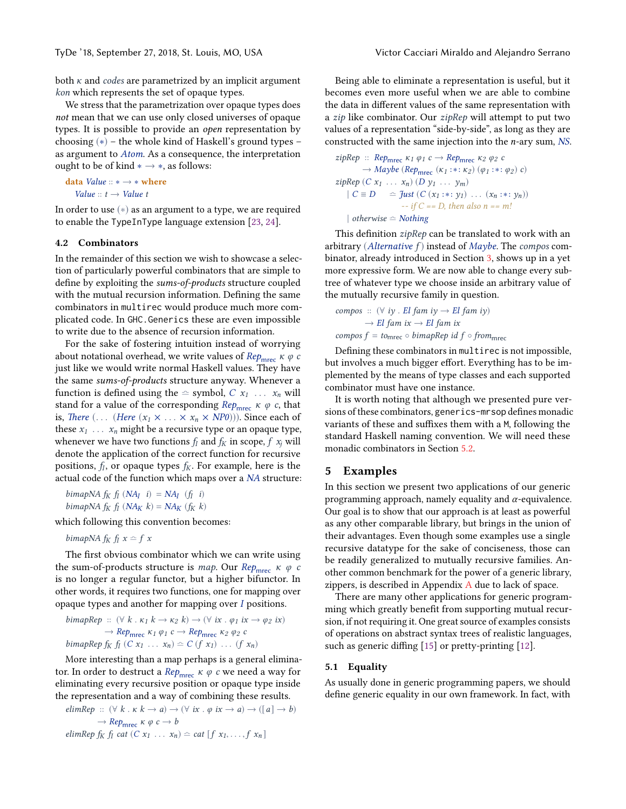both  $\kappa$  and codes are parametrized by an implicit argument kon which represents the set of opaque types.

We stress that the parametrization over opaque types does not mean that we can use only closed universes of opaque types. It is possible to provide an open representation by choosing  $(*)$  – the whole kind of Haskell's ground types – as argument to Atom. As a consequence, the interpretation ought to be of kind  $* \rightarrow *$ , as follows:

data Value :: ∗ → ∗ where Value  $: t \rightarrow$  Value t

In order to use (∗) as an argument to a type, we are required to enable the TypeInType language extension [\[23,](#page-12-19) [24\]](#page-12-20).

### <span id="page-9-1"></span>4.2 Combinators

In the remainder of this section we wish to showcase a selection of particularly powerful combinators that are simple to define by exploiting the sums-of-products structure coupled with the mutual recursion information. Defining the same combinators in multirec would produce much more complicated code. In GHC.Generics these are even impossible to write due to the absence of recursion information.

For the sake of fostering intuition instead of worrying about notational overhead, we write values of  $Rep_{\text{mrec}} \kappa \varphi c$ just like we would write normal Haskell values. They have the same sums-of-products structure anyway. Whenever a function is defined using the  $\approx$  symbol,  $C x_1 \ldots x_n$  will stand for a value of the corresponding  $Rep_{\text{mrec}} \kappa \varphi c$ , that is, There  $(\dots$  (Here  $(x_1 \times \dots \times x_n \times NP0))$ ). Since each of these  $x_1 \ldots x_n$  might be a recursive type or an opaque type, whenever we have two functions  $f_I$  and  $f_K$  in scope,  $f$   $x_i$  will denote the application of the correct function for recursive positions,  $f_I$ , or opaque types  $f_K$ . For example, here is the actual code of the function which maps over a NA structure:

bimapNA  $f_K f_I (NA_I i) = NA_I (f_I i)$ bimapNA  $f_K f_I$  (NA<sub>K</sub> k) = NA<sub>K</sub> ( $f_K$  k)

which following this convention becomes:

bimapNA f<sub>K</sub> f<sub>I</sub>  $x \approx f x$ 

The first obvious combinator which we can write using the sum-of-products structure is map. Our Rep<sub>mrec</sub>  $\kappa \varphi c$ is no longer a regular functor, but a higher bifunctor. In other words, it requires two functions, one for mapping over opaque types and another for mapping over I positions.

$$
bimapRep :: (\forall k. \kappa_1 k \rightarrow \kappa_2 k) \rightarrow (\forall ix. \varphi_1 ix \rightarrow \varphi_2 ix)
$$
  
\n
$$
\rightarrow Rep_{\text{mrec}} \kappa_1 \varphi_1 c \rightarrow Rep_{\text{mrec}} \kappa_2 \varphi_2 c
$$
  
\n
$$
bimapRep_{f_k} f_l(C x_1 ... x_n) \simeq C(f x_1) ... (f x_n)
$$

More interesting than a map perhaps is a general eliminator. In order to destruct a  $Rep_{\text{mrec}} \kappa \varphi c$  we need a way for eliminating every recursive position or opaque type inside the representation and a way of combining these results.

$$
\begin{aligned}\n\text{elimRep} &\;:: (\forall k \ldots k \rightarrow a) \rightarrow (\forall ix. \varphi ix \rightarrow a) \rightarrow ([a] \rightarrow b) \\
&\rightarrow \text{Rep}_{\text{mrec}} \kappa \varphi c \rightarrow b \\
\text{elimRep } f_K \ f_l \ \text{cat } (C \ x_1 \ldots \ x_n) \simeq \text{cat } [f \ x_1, \ldots, f \ x_n]\n\end{aligned}
$$

Being able to eliminate a representation is useful, but it becomes even more useful when we are able to combine the data in different values of the same representation with a zip like combinator. Our zipRep will attempt to put two values of a representation "side-by-side", as long as they are constructed with the same injection into the n-ary sum, NS.

$$
zipRep :: Rep_{\text{mrec}} \kappa_1 \varphi_1 c \rightarrow Rep_{\text{mrec}} \kappa_2 \varphi_2 c
$$
  
\n→ *Maybe* (*Rep*<sub>mrec</sub> ( $\kappa_1 : * : \kappa_2$ ) ( $\varphi_1 : * : \varphi_2$ ) c)  
\n
$$
zipRep (C x_1 ... x_n) (D y_1 ... y_m)
$$
  
\n| C  $\equiv D \cong \exists \text{ust} (C (x_1 : * : y_1) ... (x_n : * : y_n))$   
\n-- if C == D, then also n == m!  
\n| otherwise ≃ Nothing

This definition zipRep can be translated to work with an arbitrary (Alternative  $f$ ) instead of Maybe. The compos combinator, already introduced in Section [3,](#page-4-0) shows up in a yet more expressive form. We are now able to change every subtree of whatever type we choose inside an arbitrary value of the mutually recursive family in question.

$$
\begin{aligned}\n\textit{compos} &\;:: (\forall \textit{ iy} \textit{. El } \textit{fam } \textit{iy} \rightarrow \textit{El } \textit{fam } \textit{iy}) \\
&\rightarrow \textit{El } \textit{fam } \textit{ix} \rightarrow \textit{El } \textit{fam } \textit{ix} \\
\textit{compos } f &= \textit{tomrec} \circ \textit{bimapRep } \textit{id } f \circ \textit{from}_{\textit{mrec}}\n\end{aligned}
$$

Defining these combinators in multirec is not impossible, but involves a much bigger effort. Everything has to be implemented by the means of type classes and each supported combinator must have one instance.

It is worth noting that although we presented pure versions of these combinators, generics-mrsop defines monadic variants of these and suffixes them with a M, following the standard Haskell naming convention. We will need these monadic combinators in Section [5.2.](#page-10-0)

## <span id="page-9-0"></span>5 Examples

In this section we present two applications of our generic programming approach, namely equality and  $\alpha$ -equivalence. Our goal is to show that our approach is at least as powerful as any other comparable library, but brings in the union of their advantages. Even though some examples use a single recursive datatype for the sake of conciseness, those can be readily generalized to mutually recursive families. Another common benchmark for the power of a generic library, zippers, is described in [A](#page-13-0)ppendix  $\bf{A}$  due to lack of space.

There are many other applications for generic programming which greatly benefit from supporting mutual recursion, if not requiring it. One great source of examples consists of operations on abstract syntax trees of realistic languages, such as generic diffing [\[15\]](#page-12-12) or pretty-printing [\[12\]](#page-12-4).

## 5.1 Equality

As usually done in generic programming papers, we should define generic equality in our own framework. In fact, with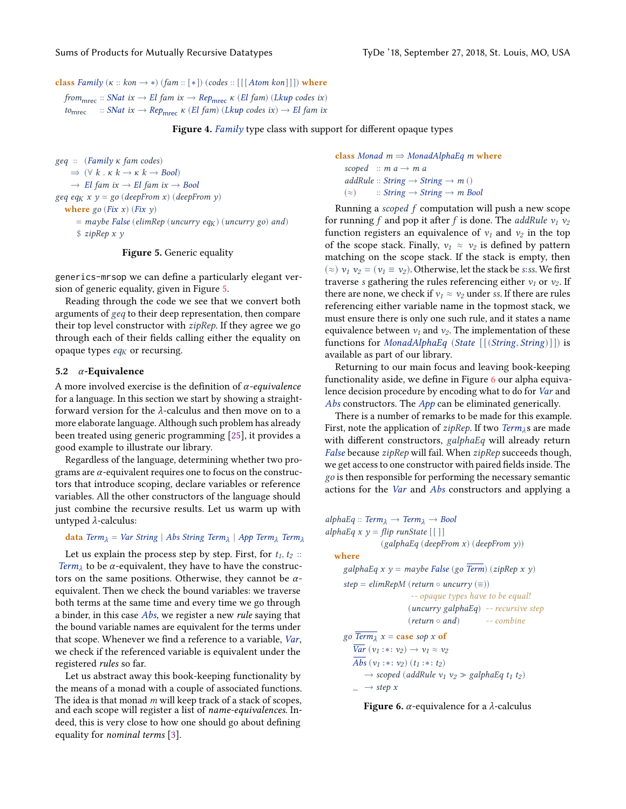<span id="page-10-1"></span>class Family  $(\kappa :: kon \rightarrow *)$  (fam  $::[*])$  (codes  $::[[[Atom kon]]]$ ) where

from<sub>mrec</sub> :: SNat ix  $\rightarrow$  El fam ix  $\rightarrow$  Rep<sub>mrec</sub>  $\kappa$  (El fam) (Lkup codes ix)  $to_{\text{mrec}}$  :: SNat ix  $\rightarrow$  Rep<sub>mrec</sub> κ (El fam) (Lkup codes ix)  $\rightarrow$  El fam ix

Figure 4. Family type class with support for different opaque types

<span id="page-10-2"></span>geq :: (Family κ fam codes)  $\Rightarrow$   $(\forall k \cdot \kappa k \rightarrow \kappa k \rightarrow Bool)$  $\rightarrow$  El fam ix  $\rightarrow$  El fam ix  $\rightarrow$  Bool geq eq<sub>K</sub>  $x$   $y = go$  (deepFrom x) (deepFrom y) where go (*Fix x*) (*Fix y*)  $=$  maybe False (elimRep (uncurry eq<sub>K</sub>) (uncurry go) and) \$ zipRep x y

Figure 5. Generic equality

generics-mrsop we can define a particularly elegant version of generic equality, given in Figure [5.](#page-10-2)

Reading through the code we see that we convert both arguments of geq to their deep representation, then compare their top level constructor with zipRep. If they agree we go through each of their fields calling either the equality on opaque types  $eq_K$  or recursing.

## <span id="page-10-0"></span>5.2  $\alpha$ -Equivalence

A more involved exercise is the definition of  $\alpha$ -equivalence for a language. In this section we start by showing a straightforward version for the  $\lambda$ -calculus and then move on to a more elaborate language. Although such problem has already been treated using generic programming [\[25\]](#page-12-21), it provides a good example to illustrate our library.

Regardless of the language, determining whether two programs are  $\alpha$ -equivalent requires one to focus on the constructors that introduce scoping, declare variables or reference variables. All the other constructors of the language should just combine the recursive results. Let us warm up with untyped λ-calculus:

```
data Term<sub>\lambda</sub> = Var String | Abs String Term<sub>\lambda</sub> | App Term<sub>\lambda</sub> Term<sub>\lambda</sub>
```
Let us explain the process step by step. First, for  $t_1, t_2$  :: Term<sub>λ</sub> to be *α*-equivalent, they have to have the constructors on the same positions. Otherwise, they cannot be  $\alpha$ equivalent. Then we check the bound variables: we traverse both terms at the same time and every time we go through a binder, in this case Abs, we register a new rule saying that the bound variable names are equivalent for the terms under that scope. Whenever we find a reference to a variable, Var, we check if the referenced variable is equivalent under the registered rules so far.

Let us abstract away this book-keeping functionality by the means of a monad with a couple of associated functions. The idea is that monad  $m$  will keep track of a stack of scopes, and each scope will register a list of name-equivalences. Indeed, this is very close to how one should go about defining equality for nominal terms [\[3\]](#page-12-22).

```
class Monad m \Rightarrow MonadAlphaEq m where
   scoped :: m a \rightarrow m aaddRule :: String \rightarrow String \rightarrow m()(\approx) :: String \rightarrow String \rightarrow m Bool
```
Running a scoped f computation will push a new scope for running f and pop it after f is done. The *addRule*  $v_1$   $v_2$ function registers an equivalence of  $v_1$  and  $v_2$  in the top of the scope stack. Finally,  $v_1 \approx v_2$  is defined by pattern matching on the scope stack. If the stack is empty, then (≈)  $v_1 v_2 = (v_1 \equiv v_2)$ . Otherwise, let the stack be s:ss. We first traverse s gathering the rules referencing either  $v_1$  or  $v_2$ . If there are none, we check if  $v_1 \approx v_2$  under ss. If there are rules referencing either variable name in the topmost stack, we must ensure there is only one such rule, and it states a name equivalence between  $v_1$  and  $v_2$ . The implementation of these functions for MonadAlphaEq (State [[(String, String)]]) is available as part of our library.

Returning to our main focus and leaving book-keeping functionality aside, we define in Figure [6](#page-10-3) our alpha equivalence decision procedure by encoding what to do for Var and Abs constructors. The App can be eliminated generically.

There is a number of remarks to be made for this example. First, note the application of  $zipRep$ . If two  $Term_3s$  are made with different constructors, galphaEq will already return False because zipRep will fail. When zipRep succeeds though, we get access to one constructor with paired fields inside. The go is then responsible for performing the necessary semantic actions for the Var and Abs constructors and applying a

```
alphaEq :: Term_{\lambda} \rightarrow Term_{\lambda} \rightarrow Bool
alphaEq x y = flip runState [[ ]]
                    (galphaEq (deepFrom x) (deepFrom y))
   where
      galphaEq x y = maybe False (go Term) (zipRep x y)
      step = elimRepM (return \circ uncurry (\equiv))
                               -- opaque types have to be equal!
                              (uncurry galphaEq) -- recursive step
                              (\textit{return} \circ \textit{and}) -- combine
      go \overline{Term}_{\lambda} x = \text{case} sop x of
          \overline{Var}(v_1 : * : v_2) \rightarrow v_1 \approx v_2\overline{Abs}(v_1 : * : v_2) (t_1 : * : t_2)\rightarrow scoped (addRule v_1 v_2 \gg galphaEq t_1 t_2)
          \overline{\phantom{a}} \rightarrow step x
```
**Figure 6.**  $\alpha$ -equivalence for a  $\lambda$ -calculus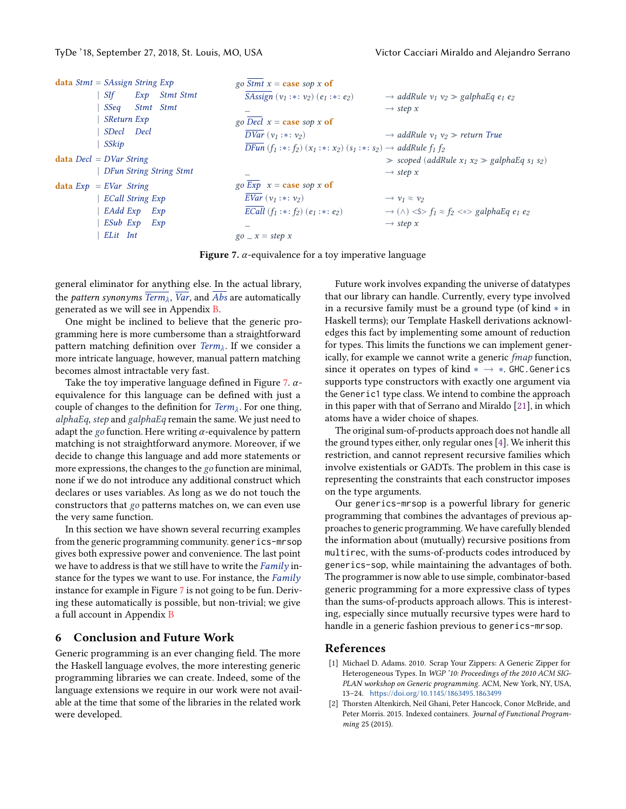<span id="page-11-1"></span>

| <b>data</b> <i>Stmt</i> = <i>SAssign String Exp</i> | go <i>Stmt</i> $x = \cose \text{ sop } x \text{ of }$                                                       |                                                                                             |
|-----------------------------------------------------|-------------------------------------------------------------------------------------------------------------|---------------------------------------------------------------------------------------------|
| <i>SIf</i><br>Exp Stmt Stmt                         | <i>SAssign</i> $(v_1 : * : v_2) (e_1 : * : e_2)$                                                            | $\rightarrow$ addRule $v_1$ $v_2 \gg$ galphaEq e <sub>1</sub> e <sub>2</sub>                |
| SSeq<br>Stmt Stmt                                   |                                                                                                             | $\rightarrow$ step x                                                                        |
| SReturn Exp                                         | go Decl $x = \cose \text{ sop } x \text{ of }$                                                              |                                                                                             |
| SDecl Decl                                          | $DVar (v_1 : * : v_2)$                                                                                      | $\rightarrow$ addRule $v_1$ $v_2 \gg$ return True                                           |
| SSkip                                               | $\overline{DFun}$ $(f_1 : * : f_2)$ $(x_1 : * : x_2)$ $(s_1 : * : s_2) \rightarrow \text{addRule } f_1 f_2$ |                                                                                             |
| <b>data</b> $Decl = DVar String$                    |                                                                                                             | $\geq$ scoped (addRule $x_1 x_2 \geq$ galphaEq $s_1 s_2$ )                                  |
| <b>DFun String String Stmt</b>                      |                                                                                                             | $\rightarrow$ step x                                                                        |
| <b>data</b> $Exp = EVar$ String                     | go $Exp$ $x = case$ sop x of                                                                                |                                                                                             |
| <b>ECall String Exp</b>                             | <i>EVar</i> $(v_1 : * : v_2)$                                                                               | $\rightarrow v_1 \approx v_2$                                                               |
| EAdd Exp Exp                                        | ECall $(f_1 : * : f_2) (e_1 : * : e_2)$                                                                     | $\rightarrow$ ( $\land$ ) <\$> $f_1 \approx f_2$ <*> galphaEq e <sub>1</sub> e <sub>2</sub> |
| ESub Exp Exp                                        |                                                                                                             | $\rightarrow$ step x                                                                        |
| ELit Int                                            | $g_0 = x = step x$                                                                                          |                                                                                             |
|                                                     |                                                                                                             |                                                                                             |

**Figure 7.**  $\alpha$ -equivalence for a toy imperative language

general eliminator for anything else. In the actual library, the *pattern synonyms*  $\overline{Term}_{\lambda}$ ,  $\overline{Var}$ , and  $\overline{Abs}$  are automatically generated as we will see in Appendix [B.](#page-14-0)

One might be inclined to believe that the generic programming here is more cumbersome than a straightforward pattern matching definition over  $Term_\lambda$ . If we consider a more intricate language, however, manual pattern matching becomes almost intractable very fast.

Take the toy imperative language defined in Figure [7.](#page-11-1)  $\alpha$ equivalence for this language can be defined with just a couple of changes to the definition for  $Term_\lambda$ . For one thing, alphaEq, step and galphaEq remain the same. We just need to adapt the go function. Here writing  $\alpha$ -equivalence by pattern matching is not straightforward anymore. Moreover, if we decide to change this language and add more statements or more expressions, the changes to the go function are minimal, none if we do not introduce any additional construct which declares or uses variables. As long as we do not touch the constructors that go patterns matches on, we can even use the very same function.

In this section we have shown several recurring examples from the generic programming community. generics-mrsop gives both expressive power and convenience. The last point we have to address is that we still have to write the  $Family$  instance for the types we want to use. For instance, the Family instance for example in Figure [7](#page-11-1) is not going to be fun. Deriving these automatically is possible, but non-trivial; we give a full account in Appendix [B](#page-14-0)

# 6 Conclusion and Future Work

Generic programming is an ever changing field. The more the Haskell language evolves, the more interesting generic programming libraries we can create. Indeed, some of the language extensions we require in our work were not available at the time that some of the libraries in the related work were developed.

Future work involves expanding the universe of datatypes that our library can handle. Currently, every type involved in a recursive family must be a ground type (of kind ∗ in Haskell terms); our Template Haskell derivations acknowledges this fact by implementing some amount of reduction for types. This limits the functions we can implement generically, for example we cannot write a generic fmap function, since it operates on types of kind  $* \rightarrow *$ . GHC. Generics supports type constructors with exactly one argument via the Generic1 type class. We intend to combine the approach in this paper with that of Serrano and Miraldo [\[21\]](#page-12-23), in which atoms have a wider choice of shapes.

The original sum-of-products approach does not handle all the ground types either, only regular ones [\[4\]](#page-12-9). We inherit this restriction, and cannot represent recursive families which involve existentials or GADTs. The problem in this case is representing the constraints that each constructor imposes on the type arguments.

Our generics-mrsop is a powerful library for generic programming that combines the advantages of previous approaches to generic programming. We have carefully blended the information about (mutually) recursive positions from multirec, with the sums-of-products codes introduced by generics-sop, while maintaining the advantages of both. The programmer is now able to use simple, combinator-based generic programming for a more expressive class of types than the sums-of-products approach allows. This is interesting, especially since mutually recursive types were hard to handle in a generic fashion previous to generics-mrsop.

## References

- <span id="page-11-2"></span>[1] Michael D. Adams. 2010. Scrap Your Zippers: A Generic Zipper for Heterogeneous Types. In WGP '10: Proceedings of the 2010 ACM SIG-PLAN workshop on Generic programming. ACM, New York, NY, USA, 13–24. <https://doi.org/10.1145/1863495.1863499>
- <span id="page-11-0"></span>[2] Thorsten Altenkirch, Neil Ghani, Peter Hancock, Conor McBride, and Peter Morris. 2015. Indexed containers. Journal of Functional Programming 25 (2015).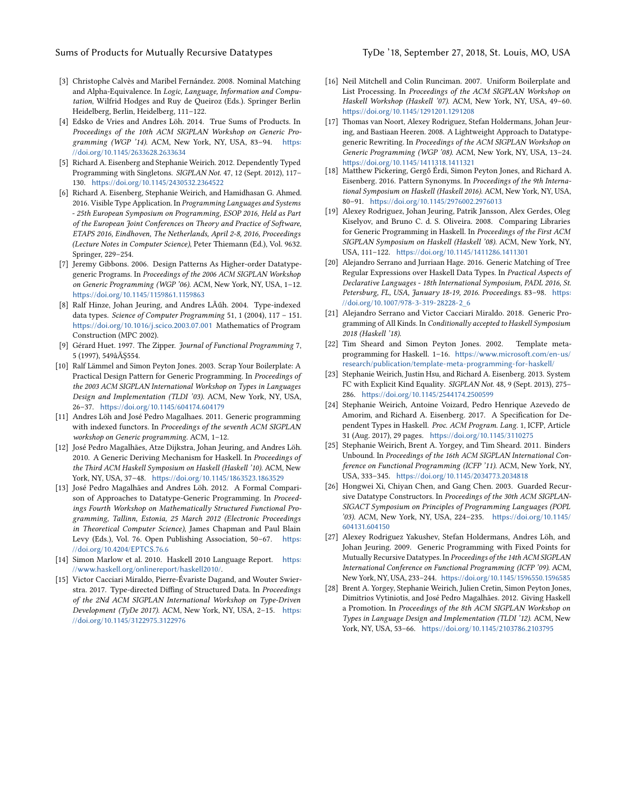- <span id="page-12-22"></span>[3] Christophe Calvès and Maribel Fernández. 2008. Nominal Matching and Alpha-Equivalence. In Logic, Language, Information and Computation, Wilfrid Hodges and Ruy de Queiroz (Eds.). Springer Berlin Heidelberg, Berlin, Heidelberg, 111–122.
- <span id="page-12-9"></span>[4] Edsko de Vries and Andres Löh. 2014. True Sums of Products. In Proceedings of the 10th ACM SIGPLAN Workshop on Generic Programming (WGP '14). ACM, New York, NY, USA, 83–94. [https:](https://doi.org/10.1145/2633628.2633634) [//doi.org/10.1145/2633628.2633634](https://doi.org/10.1145/2633628.2633634)
- <span id="page-12-17"></span>[5] Richard A. Eisenberg and Stephanie Weirich. 2012. Dependently Typed Programming with Singletons. SIGPLAN Not. 47, 12 (Sept. 2012), 117– 130. <https://doi.org/10.1145/2430532.2364522>
- <span id="page-12-18"></span>[6] Richard A. Eisenberg, Stephanie Weirich, and Hamidhasan G. Ahmed. 2016. Visible Type Application. In Programming Languages and Systems - 25th European Symposium on Programming, ESOP 2016, Held as Part of the European Joint Conferences on Theory and Practice of Software, ETAPS 2016, Eindhoven, The Netherlands, April 2-8, 2016, Proceedings (Lecture Notes in Computer Science), Peter Thiemann (Ed.), Vol. 9632. Springer, 229–254.
- <span id="page-12-0"></span>[7] Jeremy Gibbons. 2006. Design Patterns As Higher-order Datatypegeneric Programs. In Proceedings of the 2006 ACM SIGPLAN Workshop on Generic Programming (WGP '06). ACM, New York, NY, USA, 1–12. <https://doi.org/10.1145/1159861.1159863>
- <span id="page-12-25"></span>[8] Ralf Hinze, Johan Jeuring, and Andres LÃűh. 2004. Type-indexed data types. Science of Computer Programming 51, 1 (2004), 117 – 151. <https://doi.org/10.1016/j.scico.2003.07.001> Mathematics of Program Construction (MPC 2002).
- <span id="page-12-24"></span>[9] Gérard Huet. 1997. The Zipper. Journal of Functional Programming 7, 5 (1997), 549âĂŞ554.
- <span id="page-12-5"></span>[10] Ralf Lämmel and Simon Peyton Jones. 2003. Scrap Your Boilerplate: A Practical Design Pattern for Generic Programming. In Proceedings of the 2003 ACM SIGPLAN International Workshop on Types in Languages Design and Implementation (TLDI '03). ACM, New York, NY, USA, 26–37. <https://doi.org/10.1145/604174.604179>
- <span id="page-12-16"></span>[11] Andres Löh and José Pedro Magalhaes. 2011. Generic programming with indexed functors. In Proceedings of the seventh ACM SIGPLAN workshop on Generic programming. ACM, 1–12.
- <span id="page-12-4"></span>[12] José Pedro Magalhães, Atze Dijkstra, Johan Jeuring, and Andres Löh. 2010. A Generic Deriving Mechanism for Haskell. In Proceedings of the Third ACM Haskell Symposium on Haskell (Haskell '10). ACM, New York, NY, USA, 37–48. <https://doi.org/10.1145/1863523.1863529>
- <span id="page-12-2"></span>[13] José Pedro Magalhães and Andres Löh. 2012. A Formal Comparison of Approaches to Datatype-Generic Programming. In Proceedings Fourth Workshop on Mathematically Structured Functional Programming, Tallinn, Estonia, 25 March 2012 (Electronic Proceedings in Theoretical Computer Science), James Chapman and Paul Blain Levy (Eds.), Vol. 76. Open Publishing Association, 50–67. [https:](https://doi.org/10.4204/EPTCS.76.6) [//doi.org/10.4204/EPTCS.76.6](https://doi.org/10.4204/EPTCS.76.6)
- <span id="page-12-1"></span>[14] Simon Marlow et al. 2010. Haskell 2010 Language Report. [https:](https://www.haskell.org/onlinereport/haskell2010/) [//www.haskell.org/onlinereport/haskell2010/](https://www.haskell.org/onlinereport/haskell2010/).
- <span id="page-12-12"></span>[15] Victor Cacciari Miraldo, Pierre-Évariste Dagand, and Wouter Swierstra. 2017. Type-directed Diffing of Structured Data. In Proceedings of the 2Nd ACM SIGPLAN International Workshop on Type-Driven Development (TyDe 2017). ACM, New York, NY, USA, 2–15. [https:](https://doi.org/10.1145/3122975.3122976) [//doi.org/10.1145/3122975.3122976](https://doi.org/10.1145/3122975.3122976)
- <span id="page-12-6"></span>[16] Neil Mitchell and Colin Runciman. 2007. Uniform Boilerplate and List Processing. In Proceedings of the ACM SIGPLAN Workshop on Haskell Workshop (Haskell '07). ACM, New York, NY, USA, 49–60. <https://doi.org/10.1145/1291201.1291208>
- <span id="page-12-7"></span>[17] Thomas van Noort, Alexey Rodriguez, Stefan Holdermans, Johan Jeuring, and Bastiaan Heeren. 2008. A Lightweight Approach to Datatypegeneric Rewriting. In Proceedings of the ACM SIGPLAN Workshop on Generic Programming (WGP '08). ACM, New York, NY, USA, 13–24. <https://doi.org/10.1145/1411318.1411321>
- <span id="page-12-15"></span>[18] Matthew Pickering, Gergő Érdi, Simon Peyton Jones, and Richard A. Eisenberg. 2016. Pattern Synonyms. In Proceedings of the 9th International Symposium on Haskell (Haskell 2016). ACM, New York, NY, USA, 80–91. <https://doi.org/10.1145/2976002.2976013>
- <span id="page-12-3"></span>[19] Alexey Rodriguez, Johan Jeuring, Patrik Jansson, Alex Gerdes, Oleg Kiselyov, and Bruno C. d. S. Oliveira. 2008. Comparing Libraries for Generic Programming in Haskell. In Proceedings of the First ACM SIGPLAN Symposium on Haskell (Haskell '08). ACM, New York, NY, USA, 111–122. <https://doi.org/10.1145/1411286.1411301>
- <span id="page-12-10"></span>[20] Alejandro Serrano and Jurriaan Hage. 2016. Generic Matching of Tree Regular Expressions over Haskell Data Types. In Practical Aspects of Declarative Languages - 18th International Symposium, PADL 2016, St. Petersburg, FL, USA, January 18-19, 2016. Proceedings. 83–98. [https:](https://doi.org/10.1007/978-3-319-28228-2_6) [//doi.org/10.1007/978-3-319-28228-2\\_6](https://doi.org/10.1007/978-3-319-28228-2_6)
- <span id="page-12-23"></span>[21] Alejandro Serrano and Victor Cacciari Miraldo. 2018. Generic Programming of All Kinds. In Conditionally accepted to Haskell Symposium 2018 (Haskell '18).
- <span id="page-12-13"></span>[22] Tim Sheard and Simon Peyton Jones. 2002. Template metaprogramming for Haskell. 1–16. [https://www.microsoft.com/en-us/](https://www.microsoft.com/en-us/research/publication/template-meta-programming-for-haskell/) [research/publication/template-meta-programming-for-haskell/](https://www.microsoft.com/en-us/research/publication/template-meta-programming-for-haskell/)
- <span id="page-12-19"></span>[23] Stephanie Weirich, Justin Hsu, and Richard A. Eisenberg. 2013. System FC with Explicit Kind Equality. SIGPLAN Not. 48, 9 (Sept. 2013), 275– 286. <https://doi.org/10.1145/2544174.2500599>
- <span id="page-12-20"></span>[24] Stephanie Weirich, Antoine Voizard, Pedro Henrique Azevedo de Amorim, and Richard A. Eisenberg. 2017. A Specification for Dependent Types in Haskell. Proc. ACM Program. Lang. 1, ICFP, Article 31 (Aug. 2017), 29 pages. <https://doi.org/10.1145/3110275>
- <span id="page-12-21"></span>[25] Stephanie Weirich, Brent A. Yorgey, and Tim Sheard. 2011. Binders Unbound. In Proceedings of the 16th ACM SIGPLAN International Conference on Functional Programming (ICFP '11). ACM, New York, NY, USA, 333–345. <https://doi.org/10.1145/2034773.2034818>
- <span id="page-12-14"></span>[26] Hongwei Xi, Chiyan Chen, and Gang Chen. 2003. Guarded Recursive Datatype Constructors. In Proceedings of the 30th ACM SIGPLAN-SIGACT Symposium on Principles of Programming Languages (POPL '03). ACM, New York, NY, USA, 224–235. [https://doi.org/10.1145/](https://doi.org/10.1145/604131.604150) [604131.604150](https://doi.org/10.1145/604131.604150)
- <span id="page-12-8"></span>[27] Alexey Rodriguez Yakushev, Stefan Holdermans, Andres Löh, and Johan Jeuring. 2009. Generic Programming with Fixed Points for Mutually Recursive Datatypes. In Proceedings of the 14th ACM SIGPLAN International Conference on Functional Programming (ICFP '09). ACM, New York, NY, USA, 233–244. <https://doi.org/10.1145/1596550.1596585>
- <span id="page-12-11"></span>[28] Brent A. Yorgey, Stephanie Weirich, Julien Cretin, Simon Peyton Jones, Dimitrios Vytiniotis, and José Pedro Magalhães. 2012. Giving Haskell a Promotion. In Proceedings of the 8th ACM SIGPLAN Workshop on Types in Language Design and Implementation (TLDI '12). ACM, New York, NY, USA, 53–66. <https://doi.org/10.1145/2103786.2103795>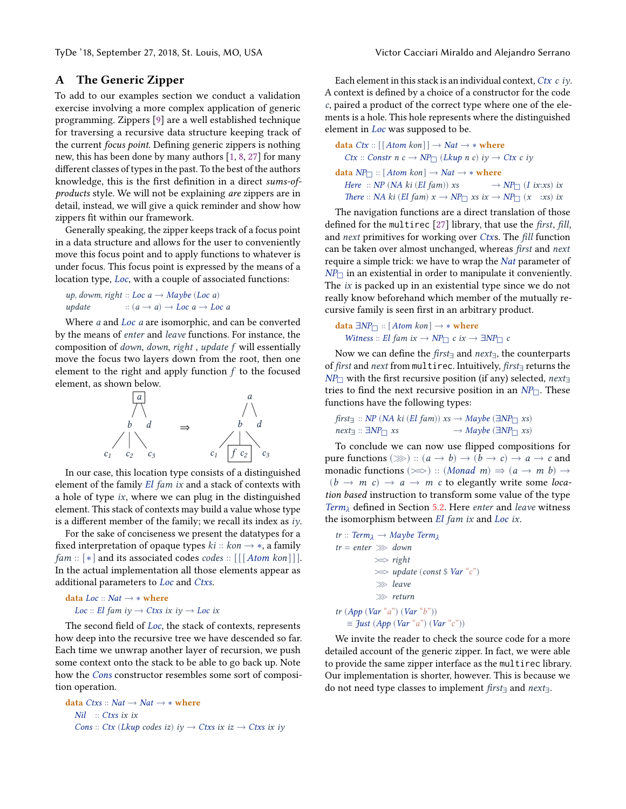# <span id="page-13-0"></span>A The Generic Zipper

To add to our examples section we conduct a validation exercise involving a more complex application of generic programming. Zippers [\[9\]](#page-12-24) are a well established technique for traversing a recursive data structure keeping track of the current focus point. Defining generic zippers is nothing new, this has been done by many authors [\[1,](#page-11-2) [8,](#page-12-25) [27\]](#page-12-8) for many different classes of types in the past. To the best of the authors knowledge, this is the first definition in a direct sums-ofproducts style. We will not be explaining are zippers are in detail, instead, we will give a quick reminder and show how zippers fit within our framework.

Generally speaking, the zipper keeps track of a focus point in a data structure and allows for the user to conveniently move this focus point and to apply functions to whatever is under focus. This focus point is expressed by the means of a location type, Loc, with a couple of associated functions:

up, dowm, right  $::$  Loc  $a \rightarrow$  Maybe (Loc  $a)$ <br>update  $::$   $(a \rightarrow a) \rightarrow$  Loc  $a \rightarrow$  Lo  $u:(a \rightarrow a) \rightarrow Loc\ a \rightarrow Loc\ a$ 

Where a and Loc a are isomorphic, and can be converted by the means of enter and leave functions. For instance, the composition of down, down, right , update f will essentially move the focus two layers down from the root, then one element to the right and apply function  $f$  to the focused element, as shown below.



In our case, this location type consists of a distinguished element of the family El fam ix and a stack of contexts with a hole of type ix, where we can plug in the distinguished element. This stack of contexts may build a value whose type is a different member of the family; we recall its index as  $iy$ .

For the sake of conciseness we present the datatypes for a fixed interpretation of opaque types  $ki:: kon \rightarrow *$ , a family  $fam::[*]$  and its associated codes  $codes::[[[Atom kon]]]$ . In the actual implementation all those elements appear as additional parameters to Loc and Ctxs.

```
data Loc :: Nat \rightarrow * where
   Loc :: El fam iy \rightarrow Ctxs ix iy \rightarrow Loc ix
```
The second field of Loc, the stack of contexts, represents how deep into the recursive tree we have descended so far. Each time we unwrap another layer of recursion, we push some context onto the stack to be able to go back up. Note how the Cons constructor resembles some sort of composition operation.

data  $Ctxs :: Nat \rightarrow Nat \rightarrow *$  where Nil :: Ctxs ix ix Cons :: Ctx (Lkup codes iz) iy  $\rightarrow$  Ctxs ix iz  $\rightarrow$  Ctxs ix iy

Each element in this stack is an individual context,  $Ctx$  c iy. A context is defined by a choice of a constructor for the code c, paired a product of the correct type where one of the elements is a hole. This hole represents where the distinguished element in Loc was supposed to be.

data  $Ctx$  ::  $[[Atom kon]] \rightarrow Nat \rightarrow *$  where Ctx :: Constr  $n c \rightarrow NP \sqcap (Lkup n c)$  iy  $\rightarrow Ctx c$  iy data  $NP\Box$ :: [Atom kon]  $\rightarrow Nat \rightarrow *$  where Here  $:: NP (NA ki (El fam)) xs \rightarrow NP_{\Box} (I ix:xs) ix$ There :: NA ki (El fam)  $x \to NP_{\square}$  xs i $x \to NP_{\square}$  (x :xs) ix

The navigation functions are a direct translation of those defined for the multirec [\[27\]](#page-12-8) library, that use the first, fill, and next primitives for working over Ctxs. The fill function can be taken over almost unchanged, whereas first and next require a simple trick: we have to wrap the Nat parameter of  $NP$  $\Box$  in an existential in order to manipulate it conveniently. The ix is packed up in an existential type since we do not really know beforehand which member of the mutually recursive family is seen first in an arbitrary product.

data  $\exists NP \sqcap :: [Atom kon] \rightarrow *$  where Witness :: El fam ix  $\rightarrow NP_{\Box} c$  ix  $\rightarrow \exists NP_{\Box} c$ 

Now we can define the *first*∃ and *next*∃, the counterparts of first and next from multirec. Intuitively, first<sub>∃</sub> returns the  $NP$  $\Box$  with the first recursive position (if any) selected, next $\Box$ tries to find the next recursive position in an  $NP_{\Box}$ . These functions have the following types:

$$
first \exists :: NP (NA ki (El fam)) xs \rightarrow Maybe (\exists NP \sqcap xs)
$$
  

$$
next \exists :: \exists NP \sqcap xs \rightarrow Maybe (\exists NP \sqcap xs)
$$

To conclude we can now use flipped compositions for pure functions  $(\ggg)$  ::  $(a \to b) \to (b \to c) \to a \to c$  and monadic functions  $(\gg \gg)$  :: (Monad m)  $\Rightarrow$   $(a \rightarrow m b) \rightarrow$  $(b \rightarrow m \ c) \rightarrow a \rightarrow m \ c$  to elegantly write some location based instruction to transform some value of the type  $Term_{\lambda}$  defined in Section [5.2.](#page-10-0) Here enter and leave witness the isomorphism between El fam ix and Loc ix.

$$
tr :: Termλ → Maybe Termλ
$$
  
\n
$$
tr = enter \gg down
$$
  
\n
$$
~\gg \text{right}
$$
  
\n
$$
~\gg \text{update} (const \text{ $Var "c")}
$$
  
\n
$$
~\gg \text{leave}
$$
  
\n
$$
~\gg \text{return}
$$
  
\n
$$
tr (App (Var "a") (Var "b"))
$$
  
\n
$$
= Just (App (Var "a") (Var "c"))
$$

We invite the reader to check the source code for a more detailed account of the generic zipper. In fact, we were able to provide the same zipper interface as the multirec library. Our implementation is shorter, however. This is because we do not need type classes to implement first∃ and next∃.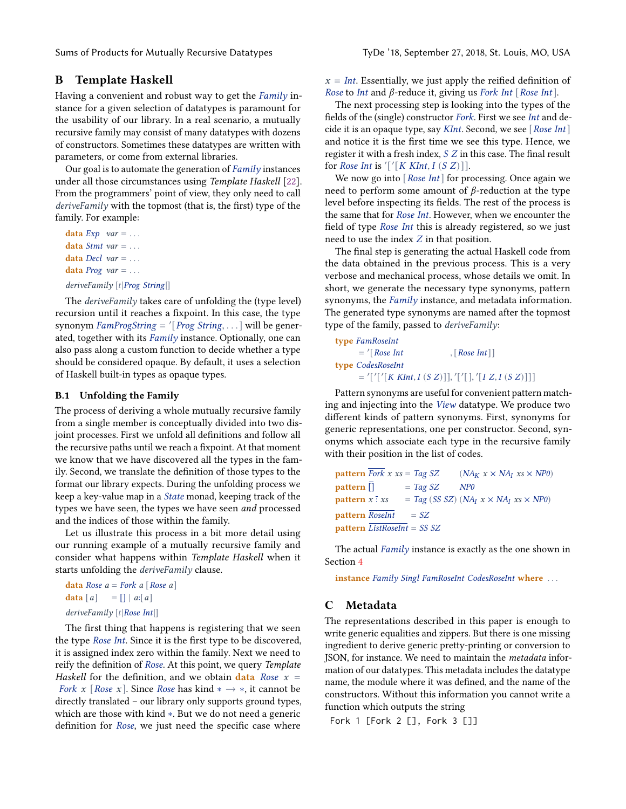Sums of Products for Mutually Recursive Datatypes TyDe '18, September 27, 2018, St. Louis, MO, USA

# <span id="page-14-0"></span>B Template Haskell

Having a convenient and robust way to get the Family instance for a given selection of datatypes is paramount for the usability of our library. In a real scenario, a mutually recursive family may consist of many datatypes with dozens of constructors. Sometimes these datatypes are written with parameters, or come from external libraries.

Our goal is to automate the generation of Family instances under all those circumstances using Template Haskell [\[22\]](#page-12-13). From the programmers' point of view, they only need to call deriveFamily with the topmost (that is, the first) type of the family. For example:

```
data Exp var = ...
data Stmt var = \ldotsdata Decl var = \ldotsdata Prog var = \ldotsderiveFamily [t|Prog String|]
```
The *deriveFamily* takes care of unfolding the (type level) recursion until it reaches a fixpoint. In this case, the type synonym  $FamProgString = '[Prog String, ...)$  will be gener-<br>ated together with its  $Family$  instance. Optionally, one can ated, together with its Family instance. Optionally, one can also pass along a custom function to decide whether a type should be considered opaque. By default, it uses a selection of Haskell built-in types as opaque types.

## B.1 Unfolding the Family

The process of deriving a whole mutually recursive family from a single member is conceptually divided into two disjoint processes. First we unfold all definitions and follow all the recursive paths until we reach a fixpoint. At that moment we know that we have discovered all the types in the family. Second, we translate the definition of those types to the format our library expects. During the unfolding process we keep a key-value map in a State monad, keeping track of the types we have seen, the types we have seen and processed and the indices of those within the family.

Let us illustrate this process in a bit more detail using our running example of a mutually recursive family and consider what happens within Template Haskell when it starts unfolding the *deriveFamily* clause.

```
data Rose a = Fork a [Rose a]data [a] = [ ] | a:[ a]deriveFamily [t|Rose Int|]
```
The first thing that happens is registering that we seen the type Rose Int. Since it is the first type to be discovered, it is assigned index zero within the family. Next we need to reify the definition of Rose. At this point, we query Template Haskell for the definition, and we obtain data Rose  $x =$ *Fork x* [*Rose x*]. Since *Rose* has kind  $* \rightarrow *$ , it cannot be directly translated – our library only supports ground types, which are those with kind ∗. But we do not need a generic definition for Rose, we just need the specific case where

 $x = Int$ . Essentially, we just apply the reified definition of Rose to Int and  $\beta$ -reduce it, giving us Fork Int [Rose Int].

The next processing step is looking into the types of the fields of the (single) constructor Fork. First we see Int and decide it is an opaque type, say KInt. Second, we see  $[RoseInt]$ and notice it is the first time we see this type. Hence, we register it with a fresh index,  $S Z$  in this case. The final result for Rose Int is '['[K KInt, I  $(S Z)$ ]].

We now go into  $[$  *Rose Int*  $]$  for processing. Once again we need to perform some amount of  $β$ -reduction at the type level before inspecting its fields. The rest of the process is the same that for Rose Int. However, when we encounter the field of type Rose Int this is already registered, so we just need to use the index Z in that position.

The final step is generating the actual Haskell code from the data obtained in the previous process. This is a very verbose and mechanical process, whose details we omit. In short, we generate the necessary type synonyms, pattern synonyms, the Family instance, and metadata information. The generated type synonyms are named after the topmost type of the family, passed to *deriveFamily*:

```
type FamRoseInt
      ='
                               \sqrt{RoseInt]}type CodesRoseInt
      = '['['[K KInt, I (S Z)]], '['[], '[I Z, I (S Z)]]]
```
Pattern synonyms are useful for convenient pattern matching and injecting into the View datatype. We produce two different kinds of pattern synonyms. First, synonyms for generic representations, one per constructor. Second, synonyms which associate each type in the recursive family with their position in the list of codes.

```
pattern \overline{Fork} x xs = Tag SZ (NA<sub>K</sub> x × NA<sub>I</sub> xs × NP0)
\textbf{pattern} \begin{bmatrix} \overline{\phantom{a}} \\ \overline{\phantom{a}} \end{bmatrix} = Tag SZ NP0
pattern x : xs = Tag (SS SZ) (NA<sub>I</sub> x \times NA<sub>I</sub> xs \times NP0)pattern RoseInt = SZpattern ListRoseInt = SS SZ
```
The actual *Family* instance is exactly as the one shown in Section [4](#page-6-0)

instance Family Singl FamRoseInt CodesRoseInt where ...

# C Metadata

The representations described in this paper is enough to write generic equalities and zippers. But there is one missing ingredient to derive generic pretty-printing or conversion to JSON, for instance. We need to maintain the metadata information of our datatypes. This metadata includes the datatype name, the module where it was defined, and the name of the constructors. Without this information you cannot write a function which outputs the string

Fork 1 [Fork 2 [], Fork 3 []]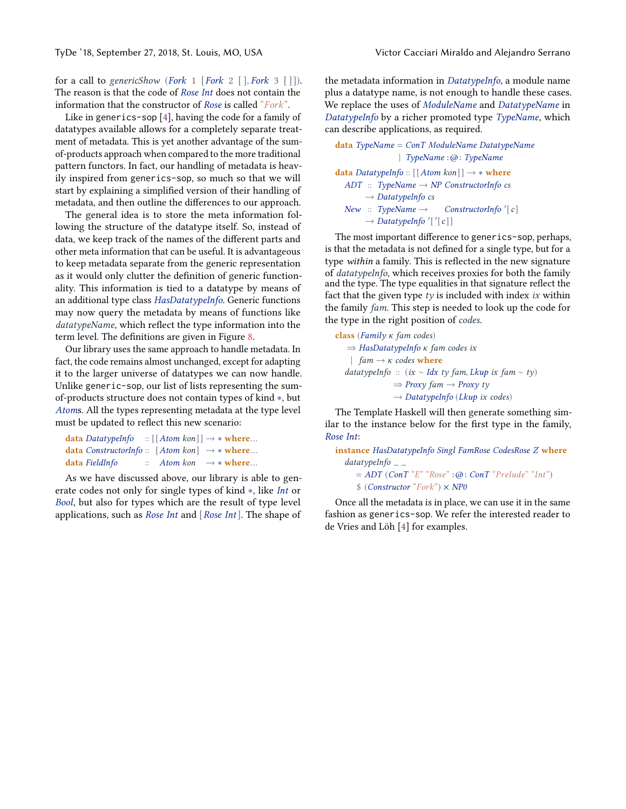for a call to generic Show (Fork 1 [Fork 2 [], Fork 3 [1]). The reason is that the code of Rose Int does not contain the information that the constructor of Rose is called "Fork".

Like in generics-sop [\[4\]](#page-12-9), having the code for a family of datatypes available allows for a completely separate treatment of metadata. This is yet another advantage of the sumof-products approach when compared to the more traditional pattern functors. In fact, our handling of metadata is heavily inspired from generics-sop, so much so that we will start by explaining a simplified version of their handling of metadata, and then outline the differences to our approach.

The general idea is to store the meta information following the structure of the datatype itself. So, instead of data, we keep track of the names of the different parts and other meta information that can be useful. It is advantageous to keep metadata separate from the generic representation as it would only clutter the definition of generic functionality. This information is tied to a datatype by means of an additional type class HasDatatypeInfo. Generic functions may now query the metadata by means of functions like datatypeName, which reflect the type information into the term level. The definitions are given in Figure [8.](#page-16-1)

Our library uses the same approach to handle metadata. In fact, the code remains almost unchanged, except for adapting it to the larger universe of datatypes we can now handle. Unlike generic-sop, our list of lists representing the sumof-products structure does not contain types of kind ∗, but Atoms. All the types representing metadata at the type level must be updated to reflect this new scenario:

| <b>data</b> DatatypeInfo $::$ [[Atom kon]] $\rightarrow$ * <b>where</b> |  |  |                                             |
|-------------------------------------------------------------------------|--|--|---------------------------------------------|
| <b>data</b> ConstructorInfo:: $[Atom kon] \rightarrow$ * where          |  |  |                                             |
| <b>data</b> FieldInfo                                                   |  |  | $\therefore$ Atom kon $\rightarrow$ * where |
|                                                                         |  |  |                                             |

As we have discussed above, our library is able to generate codes not only for single types of kind ∗, like Int or Bool, but also for types which are the result of type level applications, such as Rose Int and [Rose Int]. The shape of

the metadata information in *DatatypeInfo*, a module name plus a datatype name, is not enough to handle these cases. We replace the uses of ModuleName and DatatypeName in DatatypeInfo by a richer promoted type TypeName, which can describe applications, as required.

```
data TypeName = ConT ModuleName DatatypeName
                  | TypeName :@: TypeName
data DatatypeInfo :: [[Atom kon]] \rightarrow * where
  ADT :: TypeName \rightarrow NP ConstructorInfo cs
        \rightarrow DatatypeInfo cs
  New :: TypeName \rightarrowConstructorInfo '[c]\rightarrow DatatypeInfo '['[c]]
```
The most important difference to generics-sop, perhaps, is that the metadata is not defined for a single type, but for a type within a family. This is reflected in the new signature of datatypeInfo, which receives proxies for both the family and the type. The type equalities in that signature reflect the fact that the given type  $ty$  is included with index  $ix$  within the family fam. This step is needed to look up the code for the type in the right position of codes.

class (Family κ fam codes)  $\Rightarrow$  HasDatatypeInfo κ fam codes ix |  $fam \rightarrow \kappa$  codes where datatypeInfo :: (ix ∼ Idx ty fam, Lkup ix fam  $\sim$  ty)  $\Rightarrow$  Proxy fam  $\rightarrow$  Proxy ty  $\rightarrow$  DatatypeInfo (Lkup ix codes)

The Template Haskell will then generate something similar to the instance below for the first type in the family, Rose Int:

```
instance HasDatatypeInfo Singl FamRose CodesRose Z where
  datatypeInfo =
     = ADT (ConT "E" "Rose" : @: ConT "Prelude" "Int")$ (Constructor "Fork") × NP0
```
Once all the metadata is in place, we can use it in the same fashion as generics-sop. We refer the interested reader to de Vries and Löh [\[4\]](#page-12-9) for examples.